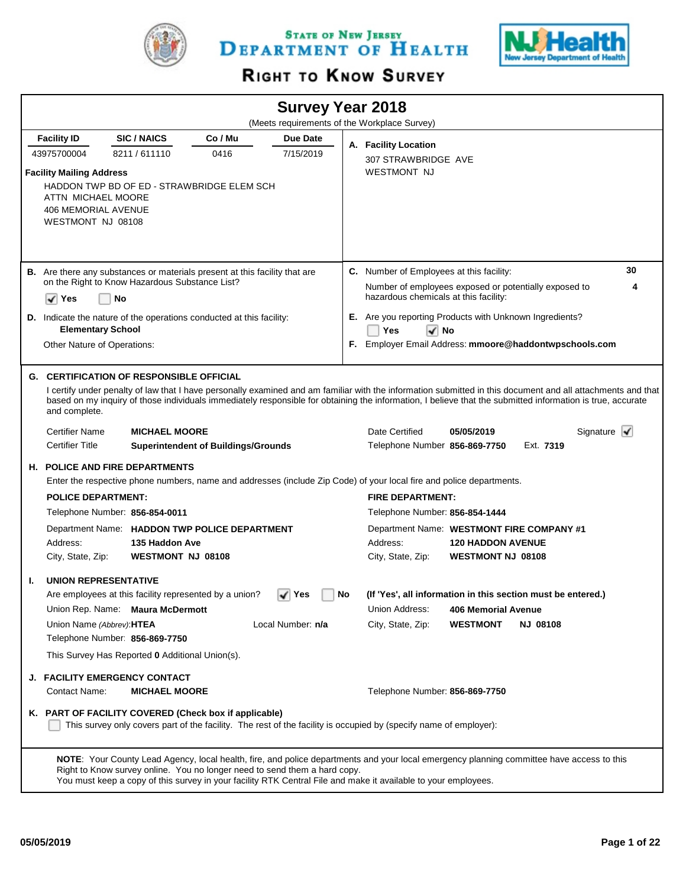

STATE OF NEW JERSEY DEPARTMENT OF HEALTH



# RIGHT TO KNOW SURVEY

|    |                                                                                                                                                                                   |                                     |                                                                                   |                            |    | <b>Survey Year 2018</b>                                                                                                                                                                                                                                     |                                                      |                 |                                                                                                                                                                                                |
|----|-----------------------------------------------------------------------------------------------------------------------------------------------------------------------------------|-------------------------------------|-----------------------------------------------------------------------------------|----------------------------|----|-------------------------------------------------------------------------------------------------------------------------------------------------------------------------------------------------------------------------------------------------------------|------------------------------------------------------|-----------------|------------------------------------------------------------------------------------------------------------------------------------------------------------------------------------------------|
|    |                                                                                                                                                                                   |                                     |                                                                                   |                            |    | (Meets requirements of the Workplace Survey)                                                                                                                                                                                                                |                                                      |                 |                                                                                                                                                                                                |
|    | <b>Facility ID</b>                                                                                                                                                                | <b>SIC/NAICS</b>                    | Co / Mu                                                                           | Due Date                   |    | A. Facility Location                                                                                                                                                                                                                                        |                                                      |                 |                                                                                                                                                                                                |
|    | 43975700004<br><b>Facility Mailing Address</b><br>ATTN MICHAEL MOORE<br><b>406 MEMORIAL AVENUE</b><br>WESTMONT NJ 08108                                                           | 8211/611110                         | 0416<br>HADDON TWP BD OF ED - STRAWBRIDGE ELEM SCH                                | 7/15/2019                  |    | 307 STRAWBRIDGE AVE<br><b>WESTMONT NJ</b>                                                                                                                                                                                                                   |                                                      |                 |                                                                                                                                                                                                |
|    | on the Right to Know Hazardous Substance List?<br>$\sqrt{}$ Yes                                                                                                                   | No                                  | <b>B.</b> Are there any substances or materials present at this facility that are |                            |    | C. Number of Employees at this facility:<br>Number of employees exposed or potentially exposed to<br>hazardous chemicals at this facility:                                                                                                                  |                                                      |                 | 30<br>4                                                                                                                                                                                        |
|    | <b>Elementary School</b><br>Other Nature of Operations:                                                                                                                           |                                     | <b>D.</b> Indicate the nature of the operations conducted at this facility:       |                            |    | E. Are you reporting Products with Unknown Ingredients?<br>Yes<br>$\sqrt{ }$ No<br>F. Employer Email Address: mmoore@haddontwpschools.com                                                                                                                   |                                                      |                 |                                                                                                                                                                                                |
|    | <b>G. CERTIFICATION OF RESPONSIBLE OFFICIAL</b><br>and complete.<br><b>Certifier Name</b><br><b>Certifier Title</b>                                                               | <b>MICHAEL MOORE</b>                | <b>Superintendent of Buildings/Grounds</b>                                        |                            |    | based on my inquiry of those individuals immediately responsible for obtaining the information, I believe that the submitted information is true, accurate<br>Date Certified<br>Telephone Number 856-869-7750                                               | 05/05/2019                                           | Ext. 7319       | I certify under penalty of law that I have personally examined and am familiar with the information submitted in this document and all attachments and that<br>Signature $\blacktriangleright$ |
|    | <b>H. POLICE AND FIRE DEPARTMENTS</b>                                                                                                                                             |                                     |                                                                                   |                            |    | Enter the respective phone numbers, name and addresses (include Zip Code) of your local fire and police departments.                                                                                                                                        |                                                      |                 |                                                                                                                                                                                                |
|    | <b>POLICE DEPARTMENT:</b>                                                                                                                                                         |                                     |                                                                                   |                            |    | <b>FIRE DEPARTMENT:</b>                                                                                                                                                                                                                                     |                                                      |                 |                                                                                                                                                                                                |
|    | Telephone Number: 856-854-0011                                                                                                                                                    |                                     |                                                                                   |                            |    | Telephone Number: 856-854-1444                                                                                                                                                                                                                              |                                                      |                 |                                                                                                                                                                                                |
|    | Address:<br>City, State, Zip:                                                                                                                                                     | 135 Haddon Ave<br>WESTMONT NJ 08108 | Department Name: HADDON TWP POLICE DEPARTMENT                                     |                            |    | Department Name: WESTMONT FIRE COMPANY #1<br>Address:<br>City, State, Zip:                                                                                                                                                                                  | <b>120 HADDON AVENUE</b><br><b>WESTMONT NJ 08108</b> |                 |                                                                                                                                                                                                |
| Т. | <b>UNION REPRESENTATIVE</b><br>Union Rep. Name: Maura McDermott<br>Union Name (Abbrev): HTEA<br>Telephone Number: 856-869-7750<br>This Survey Has Reported 0 Additional Union(s). |                                     | Are employees at this facility represented by a union?                            | √ Yes<br>Local Number: n/a | No | (If 'Yes', all information in this section must be entered.)<br>Union Address:<br>City, State, Zip:                                                                                                                                                         | 406 Memorial Avenue<br><b>WESTMONT</b>               | <b>NJ 08108</b> |                                                                                                                                                                                                |
|    | <b>J. FACILITY EMERGENCY CONTACT</b><br>Contact Name:                                                                                                                             | <b>MICHAEL MOORE</b>                | K. PART OF FACILITY COVERED (Check box if applicable)                             |                            |    | Telephone Number: 856-869-7750<br>This survey only covers part of the facility. The rest of the facility is occupied by (specify name of employer):                                                                                                         |                                                      |                 |                                                                                                                                                                                                |
|    |                                                                                                                                                                                   |                                     | Right to Know survey online. You no longer need to send them a hard copy.         |                            |    | NOTE: Your County Lead Agency, local health, fire, and police departments and your local emergency planning committee have access to this<br>You must keep a copy of this survey in your facility RTK Central File and make it available to your employees. |                                                      |                 |                                                                                                                                                                                                |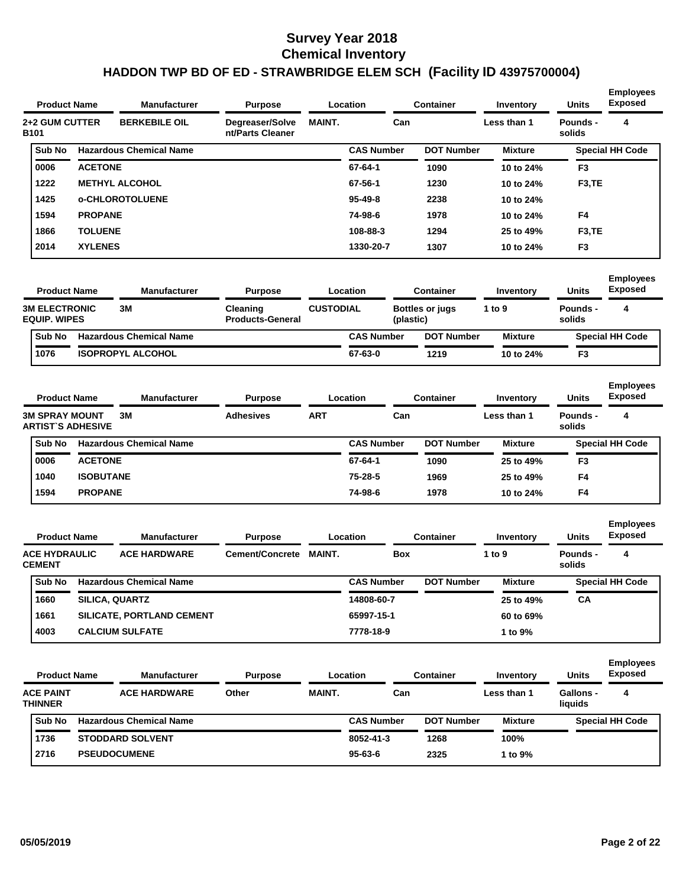|                                             | <b>Product Name</b>      | <b>Manufacturer</b>            | <b>Purpose</b>                      |                  | Location          |            | <b>Container</b>  | Inventory      | <b>Units</b>                | <b>Employees</b><br><b>Exposed</b> |
|---------------------------------------------|--------------------------|--------------------------------|-------------------------------------|------------------|-------------------|------------|-------------------|----------------|-----------------------------|------------------------------------|
| <b>2+2 GUM CUTTER</b><br><b>B101</b>        |                          | <b>BERKEBILE OIL</b>           | Degreaser/Solve<br>nt/Parts Cleaner | <b>MAINT.</b>    |                   | Can        |                   | Less than 1    | <b>Pounds -</b><br>solids   | 4                                  |
| Sub No                                      |                          | <b>Hazardous Chemical Name</b> |                                     |                  | <b>CAS Number</b> |            | <b>DOT Number</b> | <b>Mixture</b> |                             | <b>Special HH Code</b>             |
| 0006                                        | <b>ACETONE</b>           |                                |                                     |                  | 67-64-1           |            | 1090              | 10 to 24%      | F <sub>3</sub>              |                                    |
| 1222                                        |                          | <b>METHYL ALCOHOL</b>          |                                     |                  | 67-56-1           |            | 1230              | 10 to 24%      | F <sub>3</sub> ,TE          |                                    |
| 1425                                        |                          | <b>o-CHLOROTOLUENE</b>         |                                     |                  | $95 - 49 - 8$     |            | 2238              | 10 to 24%      |                             |                                    |
| 1594                                        | <b>PROPANE</b>           |                                |                                     |                  | 74-98-6           |            | 1978              | 10 to 24%      | F4                          |                                    |
| 1866                                        | <b>TOLUENE</b>           |                                |                                     |                  | 108-88-3          |            | 1294              | 25 to 49%      | F <sub>3</sub> ,TE          |                                    |
| 2014                                        | <b>XYLENES</b>           |                                |                                     |                  | 1330-20-7         |            | 1307              | 10 to 24%      | F3                          |                                    |
|                                             | <b>Product Name</b>      | <b>Manufacturer</b>            | <b>Purpose</b>                      |                  | Location          |            | <b>Container</b>  | Inventory      | <b>Units</b>                | <b>Employees</b><br><b>Exposed</b> |
| <b>3M ELECTRONIC</b><br><b>EQUIP. WIPES</b> |                          | 3M                             | Cleaning<br><b>Products-General</b> | <b>CUSTODIAL</b> |                   | (plastic)  | Bottles or jugs   | 1 to 9         | Pounds -<br>solids          | 4                                  |
| Sub No                                      |                          | <b>Hazardous Chemical Name</b> |                                     |                  | <b>CAS Number</b> |            | <b>DOT Number</b> | <b>Mixture</b> |                             | <b>Special HH Code</b>             |
| 1076                                        |                          | <b>ISOPROPYL ALCOHOL</b>       |                                     |                  | 67-63-0           |            | 1219              | 10 to 24%      | F3                          |                                    |
|                                             | <b>Product Name</b>      | <b>Manufacturer</b>            | <b>Purpose</b>                      |                  | Location          |            | <b>Container</b>  | Inventory      | <b>Units</b>                | <b>Employees</b><br><b>Exposed</b> |
| <b>3M SPRAY MOUNT</b>                       | <b>ARTIST'S ADHESIVE</b> | 3M                             | <b>Adhesives</b>                    | <b>ART</b>       |                   | Can        |                   | Less than 1    | Pounds -<br>solids          | 4                                  |
| Sub No                                      |                          | <b>Hazardous Chemical Name</b> |                                     |                  | <b>CAS Number</b> |            | <b>DOT Number</b> | <b>Mixture</b> |                             | <b>Special HH Code</b>             |
| 0006                                        | <b>ACETONE</b>           |                                |                                     |                  | 67-64-1           |            | 1090              | 25 to 49%      | F3                          |                                    |
| 1040                                        | <b>ISOBUTANE</b>         |                                |                                     |                  | 75-28-5           |            | 1969              | 25 to 49%      | F4                          |                                    |
| 1594                                        | <b>PROPANE</b>           |                                |                                     |                  | 74-98-6           |            | 1978              | 10 to 24%      | F4                          |                                    |
|                                             | <b>Product Name</b>      | Manufacturer                   | <b>Purpose</b>                      |                  | Location          |            | <b>Container</b>  | Inventory      | Units                       | <b>Employees</b><br><b>Exposed</b> |
| <b>ACE HYDRAULIC</b><br><b>CEMENT</b>       |                          | <b>ACE HARDWARE</b>            | <b>Cement/Concrete</b>              | <b>MAINT.</b>    |                   | <b>Box</b> |                   | 1 to 9         | Pounds -<br>solids          | 4                                  |
| Sub No                                      |                          | <b>Hazardous Chemical Name</b> |                                     |                  | <b>CAS Number</b> |            | <b>DOT Number</b> | <b>Mixture</b> |                             | <b>Special HH Code</b>             |
| 1660                                        |                          | SILICA, QUARTZ                 |                                     |                  | 14808-60-7        |            |                   | 25 to 49%      | CA                          |                                    |
| 1661                                        |                          | SILICATE, PORTLAND CEMENT      |                                     |                  | 65997-15-1        |            |                   | 60 to 69%      |                             |                                    |
| 4003                                        |                          | <b>CALCIUM SULFATE</b>         |                                     |                  | 7778-18-9         |            |                   | 1 to 9%        |                             |                                    |
|                                             | <b>Product Name</b>      | Manufacturer                   | <b>Purpose</b>                      |                  | Location          |            | <b>Container</b>  | Inventory      | <b>Units</b>                | <b>Employees</b><br><b>Exposed</b> |
| <b>ACE PAINT</b><br><b>THINNER</b>          |                          | <b>ACE HARDWARE</b>            | Other                               | MAINT.           |                   | Can        |                   | Less than 1    | <b>Gallons -</b><br>liquids | 4                                  |
| Sub No                                      |                          | <b>Hazardous Chemical Name</b> |                                     |                  | <b>CAS Number</b> |            | <b>DOT Number</b> | <b>Mixture</b> |                             | <b>Special HH Code</b>             |
| 1736                                        |                          | <b>STODDARD SOLVENT</b>        |                                     |                  | 8052-41-3         |            | 1268              | 100%           |                             |                                    |
| 2716                                        |                          | <b>PSEUDOCUMENE</b>            |                                     |                  | $95 - 63 - 6$     |            | 2325              | 1 to 9%        |                             |                                    |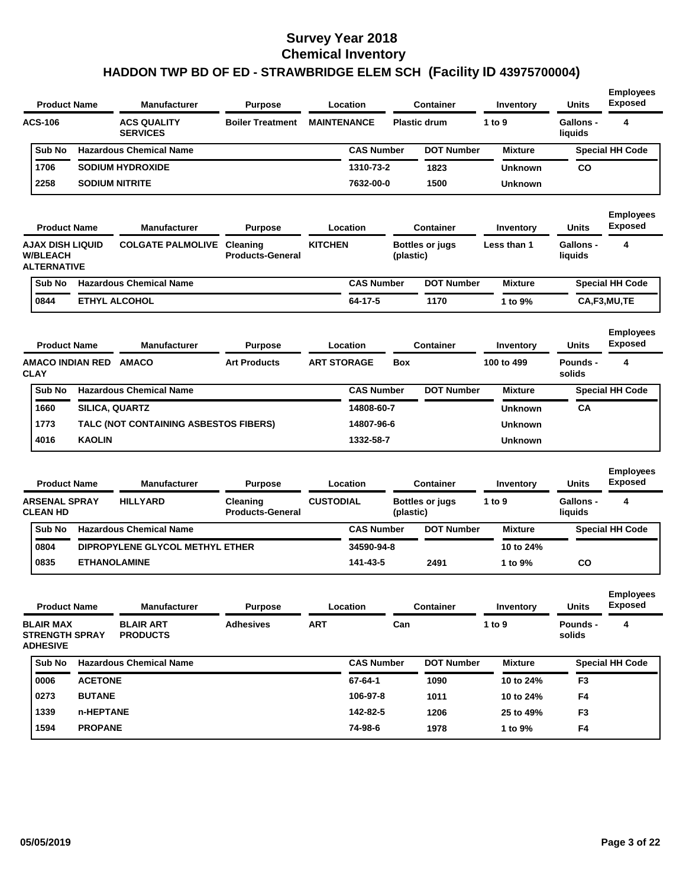| <b>Product Name</b> |  | <b>Manufacturer</b>                   | <b>Purpose</b>          |                    | Location          |  | Container           | Inventory      | <b>Units</b>         | <b>Employees</b><br><b>Exposed</b> |
|---------------------|--|---------------------------------------|-------------------------|--------------------|-------------------|--|---------------------|----------------|----------------------|------------------------------------|
| <b>ACS-106</b>      |  | <b>ACS QUALITY</b><br><b>SERVICES</b> | <b>Boiler Treatment</b> | <b>MAINTENANCE</b> |                   |  | <b>Plastic drum</b> | 1 to $9$       | Gallons -<br>liquids | 4                                  |
| <b>Sub No</b>       |  | <b>Hazardous Chemical Name</b>        |                         |                    | <b>CAS Number</b> |  | <b>DOT Number</b>   | <b>Mixture</b> |                      | <b>Special HH Code</b>             |
| 1706                |  | <b>SODIUM HYDROXIDE</b>               |                         |                    | 1310-73-2         |  | 1823                | <b>Unknown</b> | <b>CO</b>            |                                    |
| 2258                |  | <b>SODIUM NITRITE</b>                 |                         |                    | 7632-00-0         |  | 1500                | <b>Unknown</b> |                      |                                    |

| <b>Product Name</b>                                       | <b>Manufacturer</b>               | <b>Purpose</b>          |                | Location          | <b>Container</b>                    | Inventory      | <b>Units</b>         | <b>Employees</b><br><b>Exposed</b> |
|-----------------------------------------------------------|-----------------------------------|-------------------------|----------------|-------------------|-------------------------------------|----------------|----------------------|------------------------------------|
| AJAX DISH LIQUID<br><b>W/BLEACH</b><br><b>ALTERNATIVE</b> | <b>COLGATE PALMOLIVE Cleaning</b> | <b>Products-General</b> | <b>KITCHEN</b> |                   | <b>Bottles or jugs</b><br>(plastic) | Less than 1    | Gallons -<br>liquids | 4                                  |
| Sub No                                                    | <b>Hazardous Chemical Name</b>    |                         |                | <b>CAS Number</b> | <b>DOT Number</b>                   | <b>Mixture</b> |                      | <b>Special HH Code</b>             |
| 0844                                                      | <b>ETHYL ALCOHOL</b>              |                         |                | 64-17-5           | 1170                                | 1 to $9\%$     |                      | CA,F3,MU,TE                        |

| <b>Product Name</b> |                         | <b>Manufacturer</b>            | <b>Purpose</b>                        |                    | Location          |            | Container         | Inventory      | <b>Units</b>       | <b>Employees</b><br><b>Exposed</b> |
|---------------------|-------------------------|--------------------------------|---------------------------------------|--------------------|-------------------|------------|-------------------|----------------|--------------------|------------------------------------|
| <b>CLAY</b>         | <b>AMACO INDIAN RED</b> | <b>AMACO</b>                   | <b>Art Products</b>                   | <b>ART STORAGE</b> |                   | <b>Box</b> |                   | 100 to 499     | Pounds -<br>solids | 4                                  |
| <b>Sub No</b>       |                         | <b>Hazardous Chemical Name</b> |                                       |                    | <b>CAS Number</b> |            | <b>DOT Number</b> | <b>Mixture</b> |                    | <b>Special HH Code</b>             |
| 1660                | <b>SILICA, QUARTZ</b>   |                                |                                       |                    | 14808-60-7        |            |                   | <b>Unknown</b> | CA                 |                                    |
| 1773                |                         |                                | TALC (NOT CONTAINING ASBESTOS FIBERS) |                    | 14807-96-6        |            |                   | <b>Unknown</b> |                    |                                    |
| 4016                | <b>KAOLIN</b>           |                                |                                       |                    | 1332-58-7         |            |                   | <b>Unknown</b> |                    |                                    |

| <b>Product Name</b>                     |  | <b>Manufacturer</b>             | <b>Purpose</b>                             |                  | Location          |                                     | Container         | Inventory      | <b>Units</b>         | <b>Employees</b><br><b>Exposed</b> |
|-----------------------------------------|--|---------------------------------|--------------------------------------------|------------------|-------------------|-------------------------------------|-------------------|----------------|----------------------|------------------------------------|
| <b>ARSENAL SPRAY</b><br><b>CLEAN HD</b> |  | <b>HILLYARD</b>                 | <b>Cleaning</b><br><b>Products-General</b> | <b>CUSTODIAL</b> |                   | <b>Bottles or jugs</b><br>(plastic) |                   | 1 to $9$       | Gallons -<br>liauids | 4                                  |
| <b>Sub No</b>                           |  | <b>Hazardous Chemical Name</b>  |                                            |                  | <b>CAS Number</b> |                                     | <b>DOT Number</b> | <b>Mixture</b> |                      | <b>Special HH Code</b>             |
| 0804                                    |  | DIPROPYLENE GLYCOL METHYL ETHER |                                            |                  | 34590-94-8        |                                     |                   | 10 to 24%      |                      |                                    |
| 0835                                    |  | <b>ETHANOLAMINE</b>             |                                            |                  | 141-43-5          |                                     | 2491              | 1 to 9%        | <b>CO</b>            |                                    |
|                                         |  |                                 |                                            |                  |                   |                                     |                   |                |                      |                                    |

|  | <b>Product Name</b><br><b>Manufacturer</b><br><b>BLAIR MAX</b><br><b>BLAIR ART</b><br><b>STRENGTH SPRAY</b><br><b>PRODUCTS</b><br><b>ADHESIVE</b> |                | <b>Purpose</b>                 | Location<br><b>Adhesives</b><br><b>ART</b> |  | <b>Container</b>  | Inventory         | <b>Units</b>       | <b>Employees</b><br><b>Exposed</b> |                        |
|--|---------------------------------------------------------------------------------------------------------------------------------------------------|----------------|--------------------------------|--------------------------------------------|--|-------------------|-------------------|--------------------|------------------------------------|------------------------|
|  |                                                                                                                                                   |                |                                |                                            |  | 1 to 9<br>Can     |                   | Pounds -<br>solids | 4                                  |                        |
|  | Sub No                                                                                                                                            |                | <b>Hazardous Chemical Name</b> |                                            |  | <b>CAS Number</b> | <b>DOT Number</b> | <b>Mixture</b>     |                                    | <b>Special HH Code</b> |
|  | 0006                                                                                                                                              | <b>ACETONE</b> |                                |                                            |  | 67-64-1           | 1090              | 10 to 24%          | F <sub>3</sub>                     |                        |
|  | 0273                                                                                                                                              | <b>BUTANE</b>  |                                |                                            |  | 106-97-8          | 1011              | 10 to 24%          | F <sub>4</sub>                     |                        |
|  | 1339                                                                                                                                              | n-HEPTANE      |                                |                                            |  | 142-82-5          | 1206              | 25 to 49%          | F <sub>3</sub>                     |                        |
|  | 1594                                                                                                                                              | <b>PROPANE</b> |                                |                                            |  | 74-98-6           | 1978              | 1 to $9\%$         | F <sub>4</sub>                     |                        |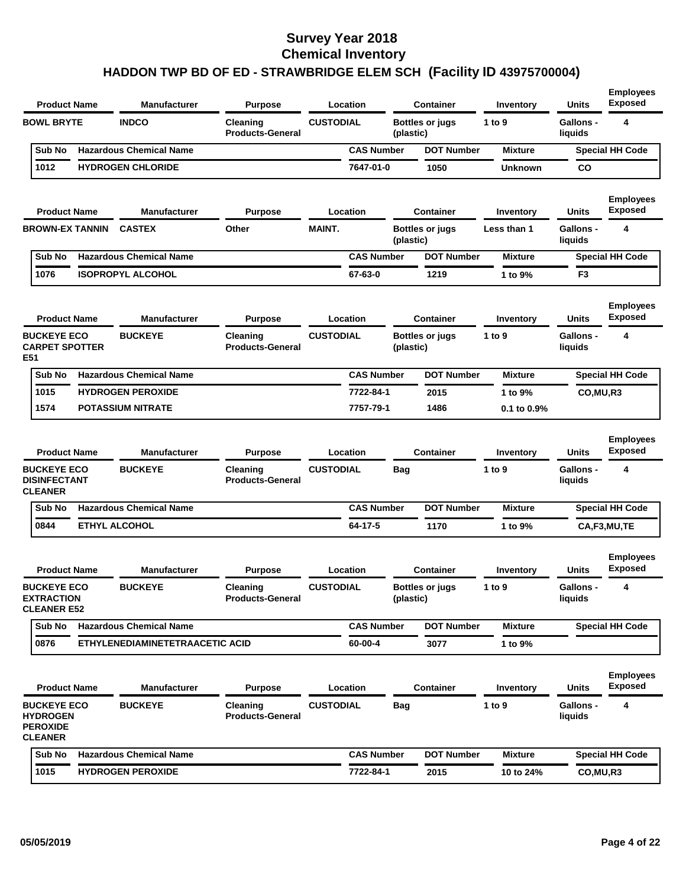| <b>INDCO</b><br><b>BOWL BRYTE</b><br><b>CUSTODIAL</b><br>1 to 9<br><b>Gallons -</b><br>Cleaning<br><b>Bottles or jugs</b><br><b>Products-General</b><br>(plastic)<br>liquids<br><b>CAS Number</b><br><b>Hazardous Chemical Name</b><br><b>DOT Number</b><br>Sub No<br>Mixture<br>1012<br><b>HYDROGEN CHLORIDE</b><br>7647-01-0<br>1050<br><b>Unknown</b><br>CO<br><b>Product Name</b><br><b>Manufacturer</b><br><b>Purpose</b><br>Location<br><b>Container</b><br>Units<br>Inventory<br><b>CASTEX</b><br>Other<br><b>MAINT.</b><br><b>BROWN-EX TANNIN</b><br>Bottles or jugs<br>Less than 1<br><b>Gallons -</b><br>liquids<br>(plastic)<br><b>Hazardous Chemical Name</b><br><b>CAS Number</b><br>Sub No<br><b>DOT Number</b><br><b>Mixture</b><br>67-63-0<br>1076<br><b>ISOPROPYL ALCOHOL</b><br>1219<br>1 to 9%<br>F <sub>3</sub><br><b>Product Name</b><br><b>Manufacturer</b><br>Location<br><b>Container</b><br><b>Purpose</b><br>Inventory<br>Units<br><b>CUSTODIAL</b><br><b>BUCKEYE ECO</b><br><b>BUCKEYE</b><br><b>Gallons -</b><br>Cleaning<br>Bottles or jugs<br>1 to 9 | 4<br><b>Special HH Code</b><br><b>Employees</b><br><b>Exposed</b><br>4<br><b>Special HH Code</b><br><b>Employees</b><br><b>Exposed</b><br>4 |
|------------------------------------------------------------------------------------------------------------------------------------------------------------------------------------------------------------------------------------------------------------------------------------------------------------------------------------------------------------------------------------------------------------------------------------------------------------------------------------------------------------------------------------------------------------------------------------------------------------------------------------------------------------------------------------------------------------------------------------------------------------------------------------------------------------------------------------------------------------------------------------------------------------------------------------------------------------------------------------------------------------------------------------------------------------------------------------|---------------------------------------------------------------------------------------------------------------------------------------------|
|                                                                                                                                                                                                                                                                                                                                                                                                                                                                                                                                                                                                                                                                                                                                                                                                                                                                                                                                                                                                                                                                                    |                                                                                                                                             |
|                                                                                                                                                                                                                                                                                                                                                                                                                                                                                                                                                                                                                                                                                                                                                                                                                                                                                                                                                                                                                                                                                    |                                                                                                                                             |
|                                                                                                                                                                                                                                                                                                                                                                                                                                                                                                                                                                                                                                                                                                                                                                                                                                                                                                                                                                                                                                                                                    |                                                                                                                                             |
|                                                                                                                                                                                                                                                                                                                                                                                                                                                                                                                                                                                                                                                                                                                                                                                                                                                                                                                                                                                                                                                                                    |                                                                                                                                             |
|                                                                                                                                                                                                                                                                                                                                                                                                                                                                                                                                                                                                                                                                                                                                                                                                                                                                                                                                                                                                                                                                                    |                                                                                                                                             |
|                                                                                                                                                                                                                                                                                                                                                                                                                                                                                                                                                                                                                                                                                                                                                                                                                                                                                                                                                                                                                                                                                    |                                                                                                                                             |
|                                                                                                                                                                                                                                                                                                                                                                                                                                                                                                                                                                                                                                                                                                                                                                                                                                                                                                                                                                                                                                                                                    |                                                                                                                                             |
|                                                                                                                                                                                                                                                                                                                                                                                                                                                                                                                                                                                                                                                                                                                                                                                                                                                                                                                                                                                                                                                                                    |                                                                                                                                             |
| <b>CARPET SPOTTER</b><br><b>Products-General</b><br>(plastic)<br>liquids<br>E51                                                                                                                                                                                                                                                                                                                                                                                                                                                                                                                                                                                                                                                                                                                                                                                                                                                                                                                                                                                                    |                                                                                                                                             |
| <b>Hazardous Chemical Name</b><br>Sub No<br><b>CAS Number</b><br><b>DOT Number</b><br><b>Mixture</b>                                                                                                                                                                                                                                                                                                                                                                                                                                                                                                                                                                                                                                                                                                                                                                                                                                                                                                                                                                               | <b>Special HH Code</b>                                                                                                                      |
| 1015<br><b>HYDROGEN PEROXIDE</b><br>7722-84-1<br>2015<br>1 to 9%<br>CO, MU, R3                                                                                                                                                                                                                                                                                                                                                                                                                                                                                                                                                                                                                                                                                                                                                                                                                                                                                                                                                                                                     |                                                                                                                                             |
| 1574<br><b>POTASSIUM NITRATE</b><br>7757-79-1<br>1486<br>0.1 to 0.9%                                                                                                                                                                                                                                                                                                                                                                                                                                                                                                                                                                                                                                                                                                                                                                                                                                                                                                                                                                                                               |                                                                                                                                             |
| <b>Manufacturer</b><br><b>Product Name</b><br><b>Purpose</b><br>Location<br><b>Container</b><br>Units<br>Inventory                                                                                                                                                                                                                                                                                                                                                                                                                                                                                                                                                                                                                                                                                                                                                                                                                                                                                                                                                                 | <b>Employees</b><br><b>Exposed</b>                                                                                                          |
| <b>BUCKEYE ECO</b><br><b>BUCKEYE</b><br><b>CUSTODIAL</b><br>1 to 9<br><b>Gallons -</b><br>Cleaning<br>Bag<br><b>DISINFECTANT</b><br><b>Products-General</b><br>liquids<br><b>CLEANER</b>                                                                                                                                                                                                                                                                                                                                                                                                                                                                                                                                                                                                                                                                                                                                                                                                                                                                                           | 4                                                                                                                                           |
| <b>DOT Number</b><br><b>Hazardous Chemical Name</b><br><b>CAS Number</b><br>Sub No<br><b>Mixture</b>                                                                                                                                                                                                                                                                                                                                                                                                                                                                                                                                                                                                                                                                                                                                                                                                                                                                                                                                                                               | <b>Special HH Code</b>                                                                                                                      |
| <b>ETHYL ALCOHOL</b><br>64-17-5<br>1170<br>0844<br>1 to 9%                                                                                                                                                                                                                                                                                                                                                                                                                                                                                                                                                                                                                                                                                                                                                                                                                                                                                                                                                                                                                         | CA,F3,MU,TE                                                                                                                                 |
| Units<br><b>Product Name</b><br><b>Manufacturer</b><br><b>Purpose</b><br>Location<br><b>Container</b><br>Inventory                                                                                                                                                                                                                                                                                                                                                                                                                                                                                                                                                                                                                                                                                                                                                                                                                                                                                                                                                                 | <b>Employees</b><br><b>Exposed</b>                                                                                                          |
| <b>BUCKEYE</b><br><b>CUSTODIAL</b><br>1 to 9<br><b>BUCKEYE ECO</b><br>Cleaning<br><b>Bottles or jugs</b><br><b>Gallons -</b><br><b>EXTRACTION</b><br>liquids<br><b>Products-General</b><br>(plastic)<br><b>CLEANER E52</b>                                                                                                                                                                                                                                                                                                                                                                                                                                                                                                                                                                                                                                                                                                                                                                                                                                                         | 4                                                                                                                                           |
| <b>Hazardous Chemical Name</b><br><b>DOT Number</b><br>Sub No<br><b>CAS Number</b><br><b>Mixture</b>                                                                                                                                                                                                                                                                                                                                                                                                                                                                                                                                                                                                                                                                                                                                                                                                                                                                                                                                                                               | <b>Special HH Code</b>                                                                                                                      |
| 0876<br>ETHYLENEDIAMINETETRAACETIC ACID<br>60-00-4<br>3077<br>1 to 9%                                                                                                                                                                                                                                                                                                                                                                                                                                                                                                                                                                                                                                                                                                                                                                                                                                                                                                                                                                                                              |                                                                                                                                             |
| <b>Product Name</b><br><b>Location</b><br><b>Container</b><br><b>Units</b><br><b>Manufacturer</b><br><b>Purpose</b><br>Inventory                                                                                                                                                                                                                                                                                                                                                                                                                                                                                                                                                                                                                                                                                                                                                                                                                                                                                                                                                   | <b>Employees</b><br><b>Exposed</b>                                                                                                          |
| <b>BUCKEYE</b><br><b>CUSTODIAL</b><br>1 to 9<br><b>BUCKEYE ECO</b><br>Cleaning<br><b>Bag</b><br><b>Gallons -</b><br><b>HYDROGEN</b><br><b>Products-General</b><br>liquids<br><b>PEROXIDE</b><br><b>CLEANER</b>                                                                                                                                                                                                                                                                                                                                                                                                                                                                                                                                                                                                                                                                                                                                                                                                                                                                     | 4                                                                                                                                           |
| Sub No<br><b>Hazardous Chemical Name</b><br><b>CAS Number</b><br><b>DOT Number</b><br><b>Mixture</b>                                                                                                                                                                                                                                                                                                                                                                                                                                                                                                                                                                                                                                                                                                                                                                                                                                                                                                                                                                               | <b>Special HH Code</b>                                                                                                                      |
| 1015<br><b>HYDROGEN PEROXIDE</b><br>7722-84-1<br>2015<br>CO, MU, R3<br>10 to 24%                                                                                                                                                                                                                                                                                                                                                                                                                                                                                                                                                                                                                                                                                                                                                                                                                                                                                                                                                                                                   |                                                                                                                                             |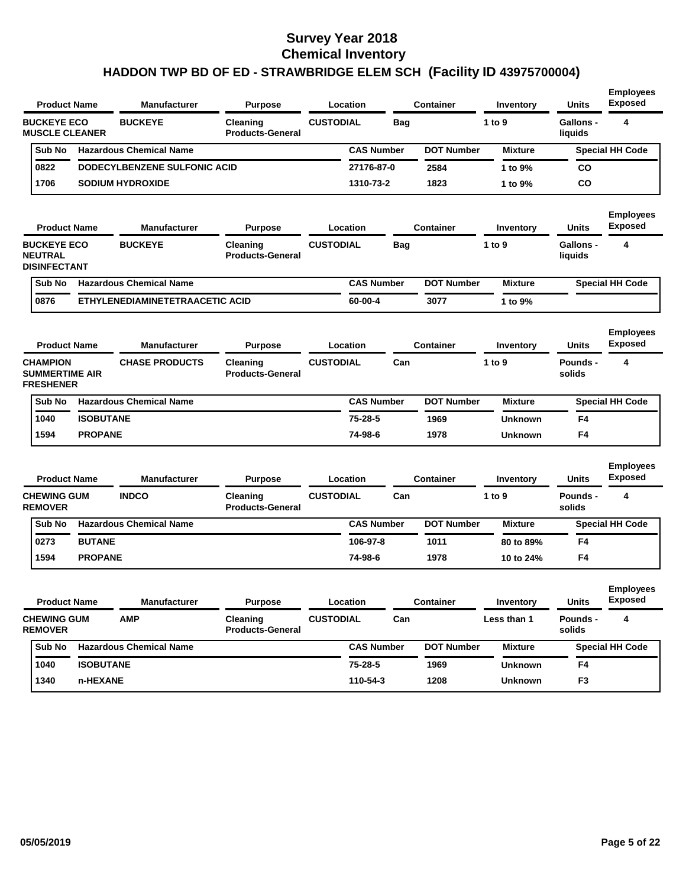|                                                              | <b>Product Name</b> | <b>Manufacturer</b><br><b>Purpose</b> |                                     | Location         |                   | <b>Container</b>  | Inventory      | <b>Units</b>         | <b>Employees</b><br><b>Exposed</b> |
|--------------------------------------------------------------|---------------------|---------------------------------------|-------------------------------------|------------------|-------------------|-------------------|----------------|----------------------|------------------------------------|
| <b>BUCKEYE ECO</b><br><b>MUSCLE CLEANER</b>                  |                     | <b>BUCKEYE</b>                        | Cleaning<br><b>Products-General</b> | <b>CUSTODIAL</b> | Bag               |                   | 1 to 9         | Gallons -<br>liquids | 4                                  |
| Sub No                                                       |                     | <b>Hazardous Chemical Name</b>        |                                     |                  | <b>CAS Number</b> | <b>DOT Number</b> | <b>Mixture</b> |                      | <b>Special HH Code</b>             |
| 0822                                                         |                     | DODECYLBENZENE SULFONIC ACID          |                                     | 27176-87-0       |                   | 2584              | 1 to 9%        | CO                   |                                    |
| 1706                                                         |                     | <b>SODIUM HYDROXIDE</b>               |                                     | 1310-73-2        |                   | 1823              | 1 to 9%        | CO                   |                                    |
|                                                              | <b>Product Name</b> | <b>Manufacturer</b>                   | <b>Purpose</b>                      | Location         |                   | Container         | Inventory      | <b>Units</b>         | <b>Employees</b><br><b>Exposed</b> |
| <b>BUCKEYE ECO</b><br><b>NEUTRAL</b><br><b>DISINFECTANT</b>  |                     | <b>BUCKEYE</b>                        | Cleaning<br><b>Products-General</b> | <b>CUSTODIAL</b> | Bag               |                   | 1 to 9         | Gallons -<br>liquids | 4                                  |
| Sub No                                                       |                     | <b>Hazardous Chemical Name</b>        |                                     |                  | <b>CAS Number</b> | <b>DOT Number</b> | <b>Mixture</b> |                      | <b>Special HH Code</b>             |
| 0876                                                         |                     | ETHYLENEDIAMINETETRAACETIC ACID       |                                     | 60-00-4          |                   | 3077              | 1 to 9%        |                      |                                    |
|                                                              | <b>Product Name</b> | <b>Manufacturer</b>                   | <b>Purpose</b>                      | Location         |                   | <b>Container</b>  | Inventory      | Units                | <b>Employees</b><br><b>Exposed</b> |
| <b>CHAMPION</b><br><b>SUMMERTIME AIR</b><br><b>FRESHENER</b> |                     | <b>CHASE PRODUCTS</b>                 | Cleaning<br><b>Products-General</b> | <b>CUSTODIAL</b> | Can               |                   | 1 to 9         | Pounds -<br>solids   | 4                                  |
| Sub No                                                       |                     | <b>Hazardous Chemical Name</b>        |                                     |                  | <b>CAS Number</b> | <b>DOT Number</b> | <b>Mixture</b> |                      | <b>Special HH Code</b>             |
| 1040                                                         | <b>ISOBUTANE</b>    |                                       |                                     | 75-28-5          |                   | 1969              | <b>Unknown</b> | F4                   |                                    |
| 1594                                                         | <b>PROPANE</b>      |                                       |                                     | 74-98-6          |                   | 1978              | <b>Unknown</b> | F4                   |                                    |
|                                                              | <b>Product Name</b> | <b>Manufacturer</b>                   | <b>Purpose</b>                      | Location         |                   | <b>Container</b>  | Inventory      | <b>Units</b>         | <b>Employees</b><br><b>Exposed</b> |
| <b>CHEWING GUM</b><br><b>REMOVER</b>                         |                     | <b>INDCO</b>                          | Cleaning<br><b>Products-General</b> | <b>CUSTODIAL</b> | Can               |                   | 1 to 9         | Pounds -<br>solids   | 4                                  |
| Sub No                                                       |                     | <b>Hazardous Chemical Name</b>        |                                     |                  | <b>CAS Number</b> | <b>DOT Number</b> | <b>Mixture</b> |                      | <b>Special HH Code</b>             |
| 0273                                                         | <b>BUTANE</b>       |                                       |                                     | 106-97-8         |                   | 1011              | 80 to 89%      | F4                   |                                    |
| 1594                                                         | <b>PROPANE</b>      |                                       |                                     | 74-98-6          |                   | 1978              | 10 to 24%      | F4                   |                                    |
| <b>Product Name</b>                                          |                     | Manufacturer                          | <b>Purpose</b>                      | Location         |                   | Container         | Inventory      | <b>Units</b>         | <b>Employees</b><br><b>Exposed</b> |
| <b>CHEWING GUM</b><br><b>REMOVER</b>                         |                     | <b>AMP</b>                            | Cleaning<br><b>Products-General</b> | <b>CUSTODIAL</b> | Can               |                   | Less than 1    | Pounds -<br>solids   | 4                                  |
| Sub No                                                       |                     | <b>Hazardous Chemical Name</b>        |                                     |                  | <b>CAS Number</b> | <b>DOT Number</b> | <b>Mixture</b> |                      | <b>Special HH Code</b>             |
| 1040                                                         | <b>ISOBUTANE</b>    |                                       |                                     | 75-28-5          |                   | 1969              | <b>Unknown</b> | F4                   |                                    |
|                                                              |                     |                                       |                                     |                  |                   |                   |                |                      |                                    |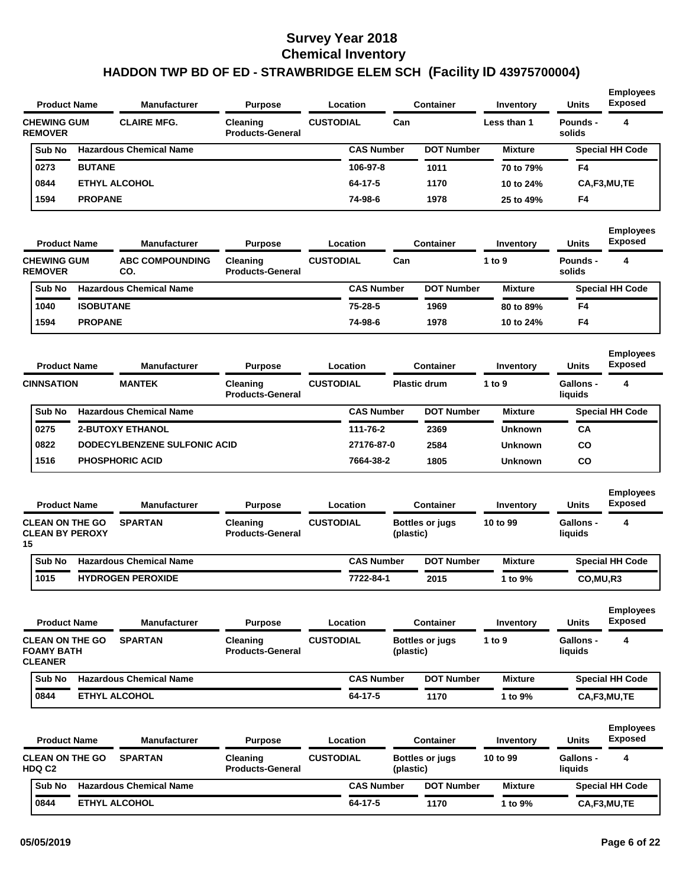| <b>Product Name</b>                                           |                  | <b>Manufacturer</b>            | <b>Purpose</b>                      | Location         |                     | <b>Container</b> |                        | Inventory      | <b>Units</b>         | <b>Employees</b><br><b>Exposed</b> |
|---------------------------------------------------------------|------------------|--------------------------------|-------------------------------------|------------------|---------------------|------------------|------------------------|----------------|----------------------|------------------------------------|
| <b>CHEWING GUM</b><br><b>REMOVER</b>                          |                  | <b>CLAIRE MFG.</b>             | Cleaning<br><b>Products-General</b> | <b>CUSTODIAL</b> |                     | Can              |                        | Less than 1    | Pounds -<br>solids   | 4                                  |
| Sub No                                                        |                  | <b>Hazardous Chemical Name</b> |                                     |                  | <b>CAS Number</b>   |                  | <b>DOT Number</b>      | <b>Mixture</b> |                      | <b>Special HH Code</b>             |
| 0273                                                          | <b>BUTANE</b>    |                                |                                     |                  | 106-97-8            |                  | 1011                   | 70 to 79%      | F4                   |                                    |
| 0844                                                          |                  | <b>ETHYL ALCOHOL</b>           |                                     |                  | 64-17-5             |                  | 1170                   | 10 to 24%      |                      | CA,F3,MU,TE                        |
| 1594                                                          | <b>PROPANE</b>   |                                |                                     |                  | 74-98-6             |                  | 1978                   | 25 to 49%      | F4                   |                                    |
| <b>Product Name</b>                                           |                  | <b>Manufacturer</b>            | <b>Purpose</b>                      | Location         |                     |                  | <b>Container</b>       | Inventory      | <b>Units</b>         | <b>Employees</b><br>Exposed        |
| <b>CHEWING GUM</b><br><b>REMOVER</b>                          |                  | <b>ABC COMPOUNDING</b><br>CO.  | Cleaning<br><b>Products-General</b> | <b>CUSTODIAL</b> |                     | Can              |                        | 1 to 9         | Pounds -<br>solids   | 4                                  |
| Sub No                                                        |                  | <b>Hazardous Chemical Name</b> |                                     |                  | <b>CAS Number</b>   |                  | <b>DOT Number</b>      | <b>Mixture</b> |                      | <b>Special HH Code</b>             |
| 1040                                                          | <b>ISOBUTANE</b> |                                |                                     |                  | 75-28-5             |                  | 1969                   | 80 to 89%      | F4                   |                                    |
| 1594                                                          | <b>PROPANE</b>   |                                |                                     |                  | 74-98-6             |                  | 1978                   | 10 to 24%      | F4                   |                                    |
| <b>Product Name</b>                                           |                  | <b>Manufacturer</b>            | <b>Purpose</b>                      | Location         |                     |                  | <b>Container</b>       | Inventory      | <b>Units</b>         | <b>Employees</b><br><b>Exposed</b> |
| <b>CINNSATION</b>                                             |                  | <b>MANTEK</b>                  | Cleaning<br><b>Products-General</b> | <b>CUSTODIAL</b> | <b>Plastic drum</b> |                  |                        | 1 to 9         | Gallons -<br>liquids | 4                                  |
| Sub No                                                        |                  | <b>Hazardous Chemical Name</b> |                                     |                  | <b>CAS Number</b>   |                  | <b>DOT Number</b>      | <b>Mixture</b> |                      | <b>Special HH Code</b>             |
| 0275                                                          |                  | <b>2-BUTOXY ETHANOL</b>        |                                     |                  | 111-76-2            |                  | 2369                   | <b>Unknown</b> | CA                   |                                    |
| 0822                                                          |                  | DODECYLBENZENE SULFONIC ACID   |                                     |                  | 27176-87-0          |                  | 2584                   | <b>Unknown</b> | CO                   |                                    |
| 1516                                                          |                  | <b>PHOSPHORIC ACID</b>         |                                     |                  | 7664-38-2           |                  | 1805                   | <b>Unknown</b> | CO                   |                                    |
| <b>Product Name</b>                                           |                  | <b>Manufacturer</b>            | <b>Purpose</b>                      | Location         |                     |                  | <b>Container</b>       | Inventory      | <b>Units</b>         | <b>Employees</b><br><b>Exposed</b> |
| <b>CLEAN ON THE GO</b><br><b>CLEAN BY PEROXY</b><br>15        |                  | <b>SPARTAN</b>                 | Cleaning<br><b>Products-General</b> | <b>CUSTODIAL</b> |                     | (plastic)        | <b>Bottles or jugs</b> | 10 to 99       | Gallons -<br>liquids | 4                                  |
| Sub No                                                        |                  | <b>Hazardous Chemical Name</b> |                                     |                  | <b>CAS Number</b>   |                  | <b>DOT Number</b>      | <b>Mixture</b> |                      | <b>Special HH Code</b>             |
| 1015                                                          |                  | <b>HYDROGEN PEROXIDE</b>       |                                     |                  | 7722-84-1           |                  | 2015                   | 1 to 9%        | CO, MU, R3           |                                    |
| <b>Product Name</b>                                           |                  | <b>Manufacturer</b>            | <b>Purpose</b>                      | Location         |                     |                  | <b>Container</b>       | Inventory      | <b>Units</b>         | <b>Employees</b><br><b>Exposed</b> |
| <b>CLEAN ON THE GO</b><br><b>FOAMY BATH</b><br><b>CLEANER</b> |                  | <b>SPARTAN</b>                 | Cleaning<br><b>Products-General</b> | <b>CUSTODIAL</b> |                     | (plastic)        | <b>Bottles or jugs</b> | 1 to 9         | Gallons -<br>liquids | 4                                  |
| Sub No                                                        |                  | <b>Hazardous Chemical Name</b> |                                     |                  | <b>CAS Number</b>   |                  | <b>DOT Number</b>      | <b>Mixture</b> |                      | <b>Special HH Code</b>             |
| 0844                                                          |                  | <b>ETHYL ALCOHOL</b>           |                                     |                  | $64 - 17 - 5$       |                  | 1170                   | 1 to 9%        |                      | CA,F3,MU,TE                        |
| <b>Product Name</b>                                           |                  | <b>Manufacturer</b>            | <b>Purpose</b>                      | <b>Location</b>  |                     |                  | <b>Container</b>       | Inventory      | <b>Units</b>         | <b>Employees</b><br><b>Exposed</b> |
| <b>CLEAN ON THE GO</b><br>HDQ C2                              |                  | <b>SPARTAN</b>                 | Cleaning<br><b>Products-General</b> | <b>CUSTODIAL</b> |                     | (plastic)        | <b>Bottles or jugs</b> | 10 to 99       | Gallons -<br>liquids | 4                                  |
|                                                               |                  |                                |                                     |                  |                     |                  |                        |                |                      |                                    |
| Sub No                                                        |                  | <b>Hazardous Chemical Name</b> |                                     |                  | <b>CAS Number</b>   |                  | <b>DOT Number</b>      | <b>Mixture</b> |                      | <b>Special HH Code</b>             |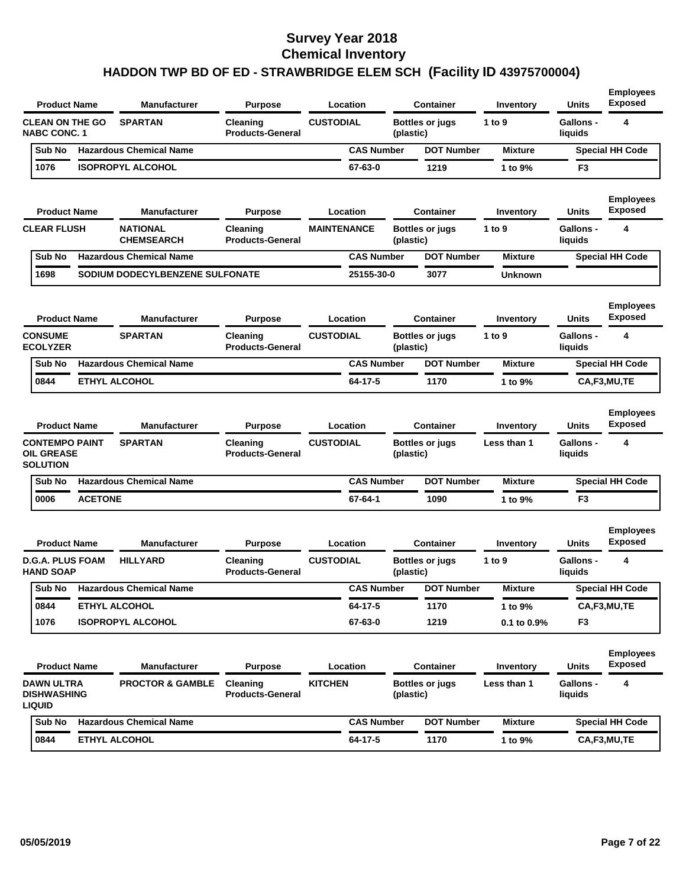| <b>SPARTAN</b><br><b>CUSTODIAL</b><br><b>CLEAN ON THE GO</b><br>Cleaning<br><b>Bottles or jugs</b><br>1 to $9$<br>Gallons -<br><b>NABC CONC. 1</b><br><b>Products-General</b><br>(plastic)<br>liquids<br><b>Hazardous Chemical Name</b><br><b>CAS Number</b><br><b>DOT Number</b><br>Sub No<br><b>Mixture</b><br>1076<br><b>ISOPROPYL ALCOHOL</b><br>67-63-0<br>1219<br>1 to 9%<br>F <sub>3</sub><br><b>Product Name</b><br><b>Manufacturer</b><br><b>Units</b><br><b>Purpose</b><br>Location<br>Container<br>Inventory<br><b>NATIONAL</b><br><b>CLEAR FLUSH</b><br>Cleaning<br><b>MAINTENANCE</b><br><b>Bottles or jugs</b><br>1 to $9$<br><b>Gallons -</b><br><b>CHEMSEARCH</b><br><b>Products-General</b><br>(plastic)<br>liquids<br><b>Hazardous Chemical Name</b><br><b>CAS Number</b><br><b>DOT Number</b><br><b>Mixture</b><br>Sub No<br>1698<br>SODIUM DODECYLBENZENE SULFONATE<br>25155-30-0<br>3077<br><b>Unknown</b><br><b>Units</b><br><b>Product Name</b><br>Manufacturer<br><b>Purpose</b><br>Location<br>Container<br>Inventory<br><b>CONSUME</b><br><b>SPARTAN</b><br><b>CUSTODIAL</b><br>1 to 9<br>Cleaning<br><b>Bottles or jugs</b><br><b>Gallons -</b><br><b>ECOLYZER</b><br><b>Products-General</b><br>(plastic)<br>liquids<br><b>CAS Number</b><br>Sub No<br><b>Hazardous Chemical Name</b><br><b>DOT Number</b><br><b>Mixture</b><br>0844<br><b>ETHYL ALCOHOL</b><br>64-17-5<br>1170<br>CA,F3,MU,TE<br>1 to 9% | 4<br><b>Special HH Code</b><br><b>Employees</b><br><b>Exposed</b> |
|---------------------------------------------------------------------------------------------------------------------------------------------------------------------------------------------------------------------------------------------------------------------------------------------------------------------------------------------------------------------------------------------------------------------------------------------------------------------------------------------------------------------------------------------------------------------------------------------------------------------------------------------------------------------------------------------------------------------------------------------------------------------------------------------------------------------------------------------------------------------------------------------------------------------------------------------------------------------------------------------------------------------------------------------------------------------------------------------------------------------------------------------------------------------------------------------------------------------------------------------------------------------------------------------------------------------------------------------------------------------------------------------------------------------------------------|-------------------------------------------------------------------|
|                                                                                                                                                                                                                                                                                                                                                                                                                                                                                                                                                                                                                                                                                                                                                                                                                                                                                                                                                                                                                                                                                                                                                                                                                                                                                                                                                                                                                                       |                                                                   |
|                                                                                                                                                                                                                                                                                                                                                                                                                                                                                                                                                                                                                                                                                                                                                                                                                                                                                                                                                                                                                                                                                                                                                                                                                                                                                                                                                                                                                                       |                                                                   |
|                                                                                                                                                                                                                                                                                                                                                                                                                                                                                                                                                                                                                                                                                                                                                                                                                                                                                                                                                                                                                                                                                                                                                                                                                                                                                                                                                                                                                                       |                                                                   |
|                                                                                                                                                                                                                                                                                                                                                                                                                                                                                                                                                                                                                                                                                                                                                                                                                                                                                                                                                                                                                                                                                                                                                                                                                                                                                                                                                                                                                                       |                                                                   |
|                                                                                                                                                                                                                                                                                                                                                                                                                                                                                                                                                                                                                                                                                                                                                                                                                                                                                                                                                                                                                                                                                                                                                                                                                                                                                                                                                                                                                                       | 4                                                                 |
|                                                                                                                                                                                                                                                                                                                                                                                                                                                                                                                                                                                                                                                                                                                                                                                                                                                                                                                                                                                                                                                                                                                                                                                                                                                                                                                                                                                                                                       | <b>Special HH Code</b>                                            |
|                                                                                                                                                                                                                                                                                                                                                                                                                                                                                                                                                                                                                                                                                                                                                                                                                                                                                                                                                                                                                                                                                                                                                                                                                                                                                                                                                                                                                                       |                                                                   |
|                                                                                                                                                                                                                                                                                                                                                                                                                                                                                                                                                                                                                                                                                                                                                                                                                                                                                                                                                                                                                                                                                                                                                                                                                                                                                                                                                                                                                                       | <b>Employees</b><br><b>Exposed</b>                                |
|                                                                                                                                                                                                                                                                                                                                                                                                                                                                                                                                                                                                                                                                                                                                                                                                                                                                                                                                                                                                                                                                                                                                                                                                                                                                                                                                                                                                                                       | 4                                                                 |
|                                                                                                                                                                                                                                                                                                                                                                                                                                                                                                                                                                                                                                                                                                                                                                                                                                                                                                                                                                                                                                                                                                                                                                                                                                                                                                                                                                                                                                       | <b>Special HH Code</b>                                            |
|                                                                                                                                                                                                                                                                                                                                                                                                                                                                                                                                                                                                                                                                                                                                                                                                                                                                                                                                                                                                                                                                                                                                                                                                                                                                                                                                                                                                                                       |                                                                   |
| <b>Product Name</b><br><b>Manufacturer</b><br>Location<br><b>Purpose</b><br><b>Container</b><br>Inventory<br>Units                                                                                                                                                                                                                                                                                                                                                                                                                                                                                                                                                                                                                                                                                                                                                                                                                                                                                                                                                                                                                                                                                                                                                                                                                                                                                                                    | <b>Employees</b><br><b>Exposed</b>                                |
| <b>CONTEMPO PAINT</b><br><b>SPARTAN</b><br><b>CUSTODIAL</b><br><b>Gallons -</b><br>Cleaning<br><b>Bottles or jugs</b><br>Less than 1<br><b>OIL GREASE</b><br><b>Products-General</b><br>(plastic)<br>liquids<br><b>SOLUTION</b>                                                                                                                                                                                                                                                                                                                                                                                                                                                                                                                                                                                                                                                                                                                                                                                                                                                                                                                                                                                                                                                                                                                                                                                                       | 4                                                                 |
| <b>Hazardous Chemical Name</b><br><b>CAS Number</b><br><b>DOT Number</b><br>Sub No<br><b>Mixture</b>                                                                                                                                                                                                                                                                                                                                                                                                                                                                                                                                                                                                                                                                                                                                                                                                                                                                                                                                                                                                                                                                                                                                                                                                                                                                                                                                  | <b>Special HH Code</b>                                            |
| 0006<br><b>ACETONE</b><br>67-64-1<br>1090<br>1 to 9%<br>F <sub>3</sub>                                                                                                                                                                                                                                                                                                                                                                                                                                                                                                                                                                                                                                                                                                                                                                                                                                                                                                                                                                                                                                                                                                                                                                                                                                                                                                                                                                |                                                                   |
| <b>Product Name</b><br>Manufacturer<br><b>Purpose</b><br>Location<br><b>Container</b><br>Units<br>Inventory                                                                                                                                                                                                                                                                                                                                                                                                                                                                                                                                                                                                                                                                                                                                                                                                                                                                                                                                                                                                                                                                                                                                                                                                                                                                                                                           | <b>Employees</b><br><b>Exposed</b>                                |
| <b>D.G.A. PLUS FOAM</b><br><b>HILLYARD</b><br><b>CUSTODIAL</b><br>1 to 9<br><b>Gallons -</b><br>Cleaning<br><b>Bottles or jugs</b><br><b>HAND SOAP</b><br><b>Products-General</b><br>(plastic)<br>liquids                                                                                                                                                                                                                                                                                                                                                                                                                                                                                                                                                                                                                                                                                                                                                                                                                                                                                                                                                                                                                                                                                                                                                                                                                             | 4                                                                 |
| Sub No Hazardous Chemical Name<br><b>CAS Number</b><br><b>DOT Number</b><br><b>Mixture</b>                                                                                                                                                                                                                                                                                                                                                                                                                                                                                                                                                                                                                                                                                                                                                                                                                                                                                                                                                                                                                                                                                                                                                                                                                                                                                                                                            | <b>Special HH Code</b>                                            |
| <b>ETHYL ALCOHOL</b><br>64-17-5<br>CA,F3,MU,TE<br>0844<br>1170<br>1 to 9%                                                                                                                                                                                                                                                                                                                                                                                                                                                                                                                                                                                                                                                                                                                                                                                                                                                                                                                                                                                                                                                                                                                                                                                                                                                                                                                                                             |                                                                   |
| <b>ISOPROPYL ALCOHOL</b><br>1219<br>1076<br>67-63-0<br>F <sub>3</sub><br>$0.1$ to $0.9\%$                                                                                                                                                                                                                                                                                                                                                                                                                                                                                                                                                                                                                                                                                                                                                                                                                                                                                                                                                                                                                                                                                                                                                                                                                                                                                                                                             |                                                                   |
| <b>Product Name</b><br>Manufacturer<br>Location<br><b>Container</b><br><b>Units</b><br><b>Purpose</b><br>Inventory                                                                                                                                                                                                                                                                                                                                                                                                                                                                                                                                                                                                                                                                                                                                                                                                                                                                                                                                                                                                                                                                                                                                                                                                                                                                                                                    | <b>Employees</b><br>Exposed                                       |
| DAWN ULTRA<br><b>PROCTOR &amp; GAMBLE</b><br><b>KITCHEN</b><br>Gallons -<br>Cleaning<br><b>Bottles or jugs</b><br>Less than 1<br><b>DISHWASHING</b><br><b>Products-General</b><br>liquids<br>(plastic)<br><b>LIQUID</b>                                                                                                                                                                                                                                                                                                                                                                                                                                                                                                                                                                                                                                                                                                                                                                                                                                                                                                                                                                                                                                                                                                                                                                                                               | 4                                                                 |
| <b>Hazardous Chemical Name</b><br><b>CAS Number</b><br><b>DOT Number</b><br>Sub No<br><b>Mixture</b>                                                                                                                                                                                                                                                                                                                                                                                                                                                                                                                                                                                                                                                                                                                                                                                                                                                                                                                                                                                                                                                                                                                                                                                                                                                                                                                                  |                                                                   |
| 0844<br><b>ETHYL ALCOHOL</b><br>64-17-5<br>1170<br>1 to 9%<br>CA,F3,MU,TE                                                                                                                                                                                                                                                                                                                                                                                                                                                                                                                                                                                                                                                                                                                                                                                                                                                                                                                                                                                                                                                                                                                                                                                                                                                                                                                                                             | <b>Special HH Code</b>                                            |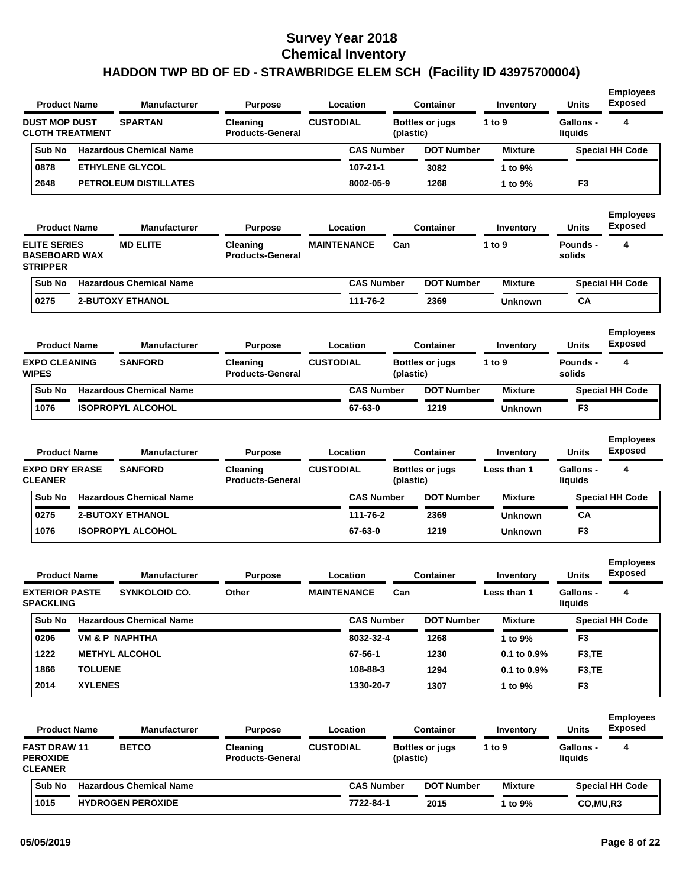| <b>Product Name</b>                                            |                | <b>Manufacturer</b>            | <b>Purpose</b>                      |                    | Location          |           | Container              | Inventory        | <b>Units</b>                | <b>Employees</b><br><b>Exposed</b> |
|----------------------------------------------------------------|----------------|--------------------------------|-------------------------------------|--------------------|-------------------|-----------|------------------------|------------------|-----------------------------|------------------------------------|
| <b>DUST MOP DUST</b><br><b>CLOTH TREATMENT</b>                 |                | <b>SPARTAN</b>                 | Cleaning<br><b>Products-General</b> | <b>CUSTODIAL</b>   |                   | (plastic) | <b>Bottles or jugs</b> | 1 to 9           | <b>Gallons -</b><br>liquids | 4                                  |
| Sub No                                                         |                | <b>Hazardous Chemical Name</b> |                                     |                    | <b>CAS Number</b> |           | <b>DOT Number</b>      | <b>Mixture</b>   |                             | <b>Special HH Code</b>             |
| 0878                                                           |                | <b>ETHYLENE GLYCOL</b>         |                                     |                    | $107 - 21 - 1$    |           | 3082                   | 1 to 9%          |                             |                                    |
| 2648                                                           |                | <b>PETROLEUM DISTILLATES</b>   |                                     |                    | 8002-05-9         |           | 1268                   | 1 to 9%          | F <sub>3</sub>              |                                    |
| <b>Product Name</b>                                            |                | <b>Manufacturer</b>            | <b>Purpose</b>                      |                    | Location          |           | <b>Container</b>       | Inventory        | <b>Units</b>                | <b>Employees</b><br><b>Exposed</b> |
| <b>ELITE SERIES</b><br><b>BASEBOARD WAX</b><br><b>STRIPPER</b> |                | <b>MD ELITE</b>                | Cleaning<br><b>Products-General</b> | <b>MAINTENANCE</b> |                   | Can       |                        | 1 to 9           | <b>Pounds -</b><br>solids   | 4                                  |
| Sub No                                                         |                | <b>Hazardous Chemical Name</b> |                                     |                    | <b>CAS Number</b> |           | <b>DOT Number</b>      | <b>Mixture</b>   |                             | <b>Special HH Code</b>             |
| 0275                                                           |                | <b>2-BUTOXY ETHANOL</b>        |                                     |                    | 111-76-2          |           | 2369                   | Unknown          | CA                          |                                    |
| <b>Product Name</b>                                            |                | <b>Manufacturer</b>            | <b>Purpose</b>                      |                    | Location          |           | <b>Container</b>       | Inventory        | <b>Units</b>                | <b>Employees</b><br><b>Exposed</b> |
| <b>EXPO CLEANING</b><br><b>WIPES</b>                           |                | <b>SANFORD</b>                 | Cleaning<br><b>Products-General</b> | <b>CUSTODIAL</b>   |                   | (plastic) | <b>Bottles or jugs</b> | 1 to 9           | <b>Pounds -</b><br>solids   | 4                                  |
| Sub No                                                         |                | <b>Hazardous Chemical Name</b> |                                     |                    | <b>CAS Number</b> |           | <b>DOT Number</b>      | <b>Mixture</b>   |                             | <b>Special HH Code</b>             |
| 1076                                                           |                | <b>ISOPROPYL ALCOHOL</b>       |                                     |                    | 67-63-0           |           | 1219                   | Unknown          | F <sub>3</sub>              |                                    |
| <b>Product Name</b>                                            |                | <b>Manufacturer</b>            | <b>Purpose</b>                      |                    | Location          |           | <b>Container</b>       | Inventory        | Units                       | <b>Employees</b><br><b>Exposed</b> |
| <b>EXPO DRY ERASE</b><br><b>CLEANER</b>                        |                | <b>SANFORD</b>                 | Cleaning<br><b>Products-General</b> | <b>CUSTODIAL</b>   |                   | (plastic) | <b>Bottles or jugs</b> | Less than 1      | <b>Gallons -</b><br>liquids | 4                                  |
| Sub No                                                         |                | <b>Hazardous Chemical Name</b> |                                     |                    | <b>CAS Number</b> |           | <b>DOT Number</b>      | <b>Mixture</b>   |                             | <b>Special HH Code</b>             |
| 0275                                                           |                | <b>2-BUTOXY ETHANOL</b>        |                                     |                    | 111-76-2          |           | 2369                   | Unknown          | CА                          |                                    |
| 1076                                                           |                | <b>ISOPROPYL ALCOHOL</b>       |                                     |                    | 67-63-0           |           | 1219                   | Unknown          | F3                          |                                    |
| <b>Product Name</b>                                            |                | <b>Manufacturer</b>            | <b>Purpose</b>                      |                    | Location          |           | Container              | Inventory        | <b>Units</b>                | <b>Employees</b><br><b>Exposed</b> |
| <b>EXTERIOR PASTE</b><br><b>SPACKLING</b>                      |                | SYNKOLOID CO.                  | Other                               | <b>MAINTENANCE</b> |                   | Can       |                        | Less than 1      | Gallons -<br>liquids        | 4                                  |
| Sub No                                                         |                | <b>Hazardous Chemical Name</b> |                                     |                    | <b>CAS Number</b> |           | <b>DOT Number</b>      | <b>Mixture</b>   |                             | <b>Special HH Code</b>             |
| 0206                                                           |                | <b>VM &amp; P NAPHTHA</b>      |                                     |                    | 8032-32-4         |           | 1268                   | 1 to 9%          | F <sub>3</sub>              |                                    |
| 1222                                                           |                | <b>METHYL ALCOHOL</b>          |                                     |                    | 67-56-1           |           | 1230                   | 0.1 to 0.9%      | F <sub>3</sub> ,TE          |                                    |
| 1866                                                           | <b>TOLUENE</b> |                                |                                     |                    | 108-88-3          |           | 1294                   | $0.1$ to $0.9\%$ | F3,TE                       |                                    |
| 2014                                                           | <b>XYLENES</b> |                                |                                     |                    | 1330-20-7         |           | 1307                   | 1 to 9%          | F <sub>3</sub>              |                                    |
| <b>Product Name</b>                                            |                | <b>Manufacturer</b>            | <b>Purpose</b>                      |                    | Location          |           | <b>Container</b>       | Inventory        | <b>Units</b>                | <b>Employees</b><br><b>Exposed</b> |
| <b>FAST DRAW 11</b><br><b>PEROXIDE</b><br><b>CLEANER</b>       |                | <b>BETCO</b>                   | Cleaning<br><b>Products-General</b> | <b>CUSTODIAL</b>   |                   | (plastic) | <b>Bottles or jugs</b> | 1 to 9           | Gallons -<br>liquids        | 4                                  |
| Sub No                                                         |                | <b>Hazardous Chemical Name</b> |                                     |                    | <b>CAS Number</b> |           | <b>DOT Number</b>      | <b>Mixture</b>   |                             | <b>Special HH Code</b>             |
| 1015                                                           |                | <b>HYDROGEN PEROXIDE</b>       |                                     |                    | 7722-84-1         |           | 2015                   | 1 to 9%          | CO,MU,R3                    |                                    |
|                                                                |                |                                |                                     |                    |                   |           |                        |                  |                             |                                    |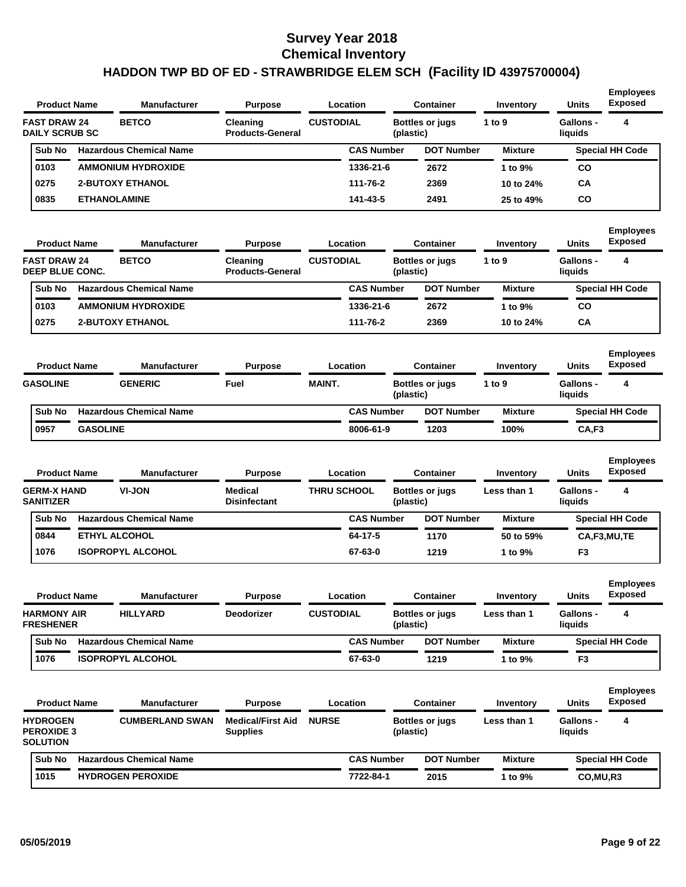| <b>Product Name</b><br><b>Manufacturer</b>              |                      | <b>Purpose</b>                 | Location<br><b>Container</b>                |                    | Inventory         | <b>Units</b> | <b>Exposed</b>         |                |                             |                                            |
|---------------------------------------------------------|----------------------|--------------------------------|---------------------------------------------|--------------------|-------------------|--------------|------------------------|----------------|-----------------------------|--------------------------------------------|
| <b>FAST DRAW 24</b><br><b>DAILY SCRUB SC</b>            |                      | <b>BETCO</b>                   | Cleaning<br><b>Products-General</b>         | <b>CUSTODIAL</b>   |                   | (plastic)    | <b>Bottles or jugs</b> | 1 to 9         | <b>Gallons -</b><br>liquids | 4                                          |
| Sub No                                                  |                      | <b>Hazardous Chemical Name</b> |                                             |                    | <b>CAS Number</b> |              | <b>DOT Number</b>      | <b>Mixture</b> |                             | <b>Special HH Code</b>                     |
| 0103                                                    |                      | <b>AMMONIUM HYDROXIDE</b>      |                                             |                    | 1336-21-6         |              | 2672                   | 1 to 9%        | CO                          |                                            |
| 0275                                                    |                      | <b>2-BUTOXY ETHANOL</b>        |                                             |                    | 111-76-2          |              | 2369                   | 10 to 24%      | CА                          |                                            |
| 0835                                                    | <b>ETHANOLAMINE</b>  |                                |                                             |                    | 141-43-5          |              | 2491                   | 25 to 49%      | CO                          |                                            |
| <b>Product Name</b>                                     |                      | <b>Manufacturer</b>            | <b>Purpose</b>                              |                    | Location          |              | <b>Container</b>       | Inventory      | <b>Units</b>                | <b>Employees</b><br><b>Exposed</b>         |
| <b>FAST DRAW 24</b><br>DEEP BLUE CONC.                  |                      | <b>BETCO</b>                   | Cleaning<br><b>Products-General</b>         | <b>CUSTODIAL</b>   |                   | (plastic)    | <b>Bottles or jugs</b> | 1 to 9         | <b>Gallons -</b><br>liquids | 4                                          |
| Sub No                                                  |                      | <b>Hazardous Chemical Name</b> |                                             |                    | <b>CAS Number</b> |              | <b>DOT Number</b>      | <b>Mixture</b> |                             | <b>Special HH Code</b>                     |
| 0103                                                    |                      | <b>AMMONIUM HYDROXIDE</b>      |                                             |                    | 1336-21-6         |              | 2672                   | 1 to 9%        | CO                          |                                            |
| 0275                                                    |                      | <b>2-BUTOXY ETHANOL</b>        |                                             |                    | 111-76-2          |              | 2369                   | 10 to 24%      | CА                          |                                            |
| <b>Product Name</b>                                     |                      | <b>Manufacturer</b>            | <b>Purpose</b>                              |                    | Location          |              | <b>Container</b>       | Inventory      | <b>Units</b>                | <b>Employees</b><br><b>Exposed</b>         |
|                                                         |                      | <b>GENERIC</b>                 | Fuel                                        | <b>MAINT.</b>      |                   | (plastic)    | <b>Bottles or jugs</b> | 1 to 9         | <b>Gallons -</b><br>liquids | 4                                          |
| <b>GASOLINE</b>                                         |                      |                                |                                             |                    |                   |              |                        |                |                             |                                            |
| Sub No                                                  |                      | <b>Hazardous Chemical Name</b> |                                             |                    | <b>CAS Number</b> |              | <b>DOT Number</b>      | <b>Mixture</b> |                             | <b>Special HH Code</b>                     |
| 0957                                                    | <b>GASOLINE</b>      |                                |                                             |                    | 8006-61-9         |              | 1203                   | 100%           | CA,F3                       |                                            |
| <b>Product Name</b>                                     |                      | <b>Manufacturer</b>            | <b>Purpose</b>                              |                    | Location          |              | <b>Container</b>       | Inventory      | <b>Units</b>                | <b>Employees</b><br><b>Exposed</b>         |
| <b>GERM-X HAND</b><br><b>SANITIZER</b>                  |                      | VI-JON                         | Medical<br><b>Disinfectant</b>              | <b>THRU SCHOOL</b> |                   | (plastic)    | <b>Bottles or jugs</b> | Less than 1    | <b>Gallons -</b><br>liquids | 4                                          |
| Sub No                                                  |                      | <b>Hazardous Chemical Name</b> |                                             |                    | <b>CAS Number</b> |              | <b>DOT Number</b>      | <b>Mixture</b> |                             | <b>Special HH Code</b>                     |
| 0844                                                    | <b>ETHYL ALCOHOL</b> |                                |                                             |                    | 64-17-5           |              | 1170                   | 50 to 59%      |                             | CA,F3,MU,TE                                |
| 1076                                                    |                      | <b>ISOPROPYL ALCOHOL</b>       |                                             |                    | 67-63-0           |              | 1219                   | 1 to 9%        | F3                          |                                            |
| <b>Product Name</b>                                     |                      | Manufacturer                   | <b>Purpose</b>                              |                    | Location          |              | <b>Container</b>       | Inventory      | <b>Units</b>                | <b>Employees</b><br>Exposed                |
| <b>HARMONY AIR</b><br><b>FRESHENER</b>                  |                      | <b>HILLYARD</b>                | Deodorizer                                  | <b>CUSTODIAL</b>   |                   | (plastic)    | <b>Bottles or jugs</b> | Less than 1    | Gallons -<br>liquids        | 4                                          |
| Sub No                                                  |                      | <b>Hazardous Chemical Name</b> |                                             |                    | <b>CAS Number</b> |              | <b>DOT Number</b>      | <b>Mixture</b> |                             | <b>Special HH Code</b>                     |
| 1076                                                    |                      | <b>ISOPROPYL ALCOHOL</b>       |                                             |                    | 67-63-0           |              | 1219                   | 1 to 9%        | F3                          |                                            |
| <b>Product Name</b>                                     |                      | <b>Manufacturer</b>            | <b>Purpose</b>                              |                    | Location          |              | <b>Container</b>       | Inventory      | Units                       | <b>Exposed</b>                             |
| <b>HYDROGEN</b><br><b>PEROXIDE 3</b><br><b>SOLUTION</b> |                      | <b>CUMBERLAND SWAN</b>         | <b>Medical/First Aid</b><br><b>Supplies</b> | <b>NURSE</b>       |                   | (plastic)    | <b>Bottles or jugs</b> | Less than 1    | <b>Gallons -</b><br>liquids | 4                                          |
| Sub No                                                  |                      | <b>Hazardous Chemical Name</b> |                                             |                    | <b>CAS Number</b> |              | <b>DOT Number</b>      | <b>Mixture</b> |                             | <b>Employees</b><br><b>Special HH Code</b> |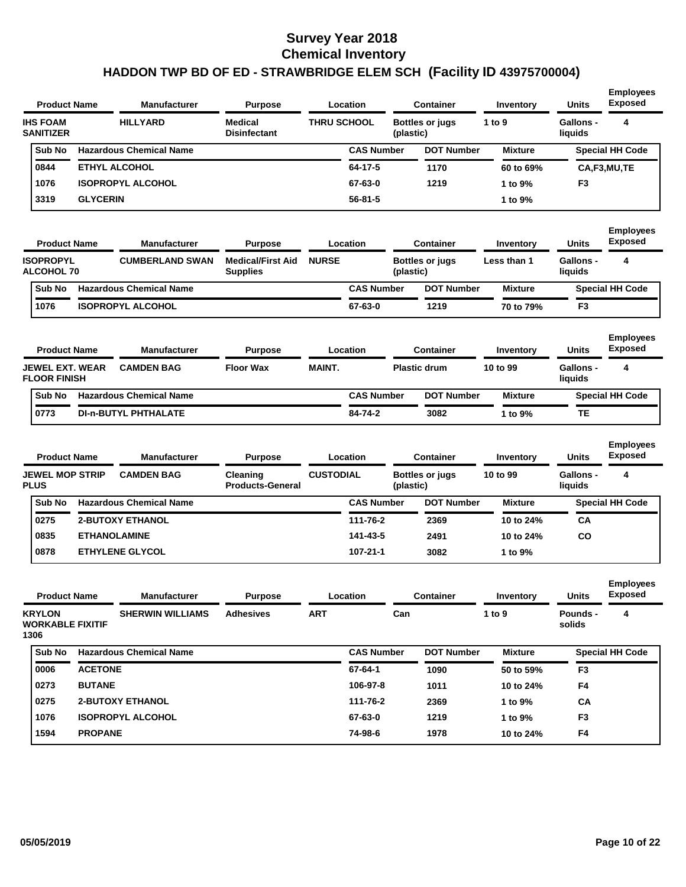| <b>Product Name</b>                              |                 | <b>Manufacturer</b>            | <b>Purpose</b>                              |                    | Location          |           | <b>Container</b>       | Inventory      | <b>Units</b>                | <b>Employees</b><br><b>Exposed</b> |
|--------------------------------------------------|-----------------|--------------------------------|---------------------------------------------|--------------------|-------------------|-----------|------------------------|----------------|-----------------------------|------------------------------------|
| <b>IHS FOAM</b><br><b>SANITIZER</b>              |                 | <b>HILLYARD</b>                | <b>Medical</b><br><b>Disinfectant</b>       | <b>THRU SCHOOL</b> |                   | (plastic) | <b>Bottles or jugs</b> | 1 to 9         | <b>Gallons -</b><br>liquids | 4                                  |
| Sub No                                           |                 | <b>Hazardous Chemical Name</b> |                                             |                    | <b>CAS Number</b> |           | <b>DOT Number</b>      | <b>Mixture</b> |                             | <b>Special HH Code</b>             |
| 0844                                             |                 | <b>ETHYL ALCOHOL</b>           |                                             |                    | 64-17-5           |           | 1170                   | 60 to 69%      |                             | CA,F3,MU,TE                        |
| 1076                                             |                 | <b>ISOPROPYL ALCOHOL</b>       |                                             |                    | 67-63-0           |           | 1219                   | 1 to 9%        | F <sub>3</sub>              |                                    |
| 3319                                             | <b>GLYCERIN</b> |                                |                                             |                    | $56 - 81 - 5$     |           |                        | 1 to 9%        |                             |                                    |
| <b>Product Name</b>                              |                 | <b>Manufacturer</b>            | <b>Purpose</b>                              |                    | Location          |           | <b>Container</b>       | Inventory      | <b>Units</b>                | <b>Employees</b><br><b>Exposed</b> |
| <b>ISOPROPYL</b><br><b>ALCOHOL 70</b>            |                 | <b>CUMBERLAND SWAN</b>         | <b>Medical/First Aid</b><br><b>Supplies</b> | <b>NURSE</b>       |                   | (plastic) | <b>Bottles or jugs</b> | Less than 1    | <b>Gallons -</b><br>liquids | 4                                  |
| Sub No                                           |                 | <b>Hazardous Chemical Name</b> |                                             |                    | <b>CAS Number</b> |           | <b>DOT Number</b>      | <b>Mixture</b> |                             | <b>Special HH Code</b>             |
| 1076                                             |                 | <b>ISOPROPYL ALCOHOL</b>       |                                             |                    | 67-63-0           |           | 1219                   | 70 to 79%      | F <sub>3</sub>              |                                    |
| <b>Product Name</b>                              |                 | <b>Manufacturer</b>            | <b>Purpose</b>                              |                    | Location          |           | Container              | Inventory      | <b>Units</b>                | <b>Employees</b><br><b>Exposed</b> |
| JEWEL EXT. WEAR<br><b>FLOOR FINISH</b>           |                 | <b>CAMDEN BAG</b>              | <b>Floor Wax</b>                            | <b>MAINT.</b>      |                   |           | <b>Plastic drum</b>    | 10 to 99       | <b>Gallons -</b><br>liquids | 4                                  |
| Sub No                                           |                 | <b>Hazardous Chemical Name</b> |                                             |                    | <b>CAS Number</b> |           | <b>DOT Number</b>      | <b>Mixture</b> |                             | <b>Special HH Code</b>             |
| 0773                                             |                 | <b>DI-n-BUTYL PHTHALATE</b>    |                                             |                    | 84-74-2           |           | 3082                   | 1 to 9%        | <b>TE</b>                   |                                    |
| <b>Product Name</b>                              |                 | <b>Manufacturer</b>            | <b>Purpose</b>                              |                    | Location          |           | <b>Container</b>       | Inventory      | <b>Units</b>                | <b>Employees</b><br><b>Exposed</b> |
| <b>JEWEL MOP STRIP</b><br><b>PLUS</b>            |                 | <b>CAMDEN BAG</b>              | Cleaning<br><b>Products-General</b>         | <b>CUSTODIAL</b>   |                   | (plastic) | <b>Bottles or jugs</b> | 10 to 99       | <b>Gallons -</b><br>liquids | 4                                  |
| Sub No                                           |                 | <b>Hazardous Chemical Name</b> |                                             |                    | <b>CAS Number</b> |           | <b>DOT Number</b>      | <b>Mixture</b> |                             | <b>Special HH Code</b>             |
| 0275                                             |                 | <b>2-BUTOXY ETHANOL</b>        |                                             |                    | 111-76-2          |           | 2369                   | 10 to 24%      | CA                          |                                    |
| 0835                                             |                 | <b>ETHANOLAMINE</b>            |                                             |                    | 141-43-5          |           | 2491                   | 10 to 24%      | CO                          |                                    |
| 0878                                             |                 | <b>ETHYLENE GLYCOL</b>         |                                             |                    | $107 - 21 - 1$    |           | 3082                   | 1 to 9%        |                             |                                    |
| <b>Product Name</b>                              |                 | Manufacturer                   | <b>Purpose</b>                              |                    | Location          |           | Container              | Inventory      | <b>Units</b>                | <b>Employees</b><br><b>Exposed</b> |
| <b>KRYLON</b><br><b>WORKABLE FIXITIF</b><br>1306 |                 | <b>SHERWIN WILLIAMS</b>        | <b>Adhesives</b>                            | ART                |                   | Can       |                        | 1 to 9         | Pounds -<br>solids          | 4                                  |
| Sub No                                           |                 | <b>Hazardous Chemical Name</b> |                                             |                    | <b>CAS Number</b> |           | <b>DOT Number</b>      | <b>Mixture</b> |                             | <b>Special HH Code</b>             |
| 0006                                             | <b>ACETONE</b>  |                                |                                             |                    | 67-64-1           |           | 1090                   | 50 to 59%      | F <sub>3</sub>              |                                    |
| 0273                                             | <b>BUTANE</b>   |                                |                                             |                    | 106-97-8          |           | 1011                   | 10 to 24%      | F4                          |                                    |
| 0275                                             |                 | <b>2-BUTOXY ETHANOL</b>        |                                             |                    | 111-76-2          |           | 2369                   | 1 to 9%        | CA                          |                                    |
| 1076                                             |                 | <b>ISOPROPYL ALCOHOL</b>       |                                             |                    | 67-63-0           |           | 1219                   | 1 to 9%        | F <sub>3</sub>              |                                    |
| 1594                                             | <b>PROPANE</b>  |                                |                                             |                    | 74-98-6           |           | 1978                   | 10 to 24%      | F4                          |                                    |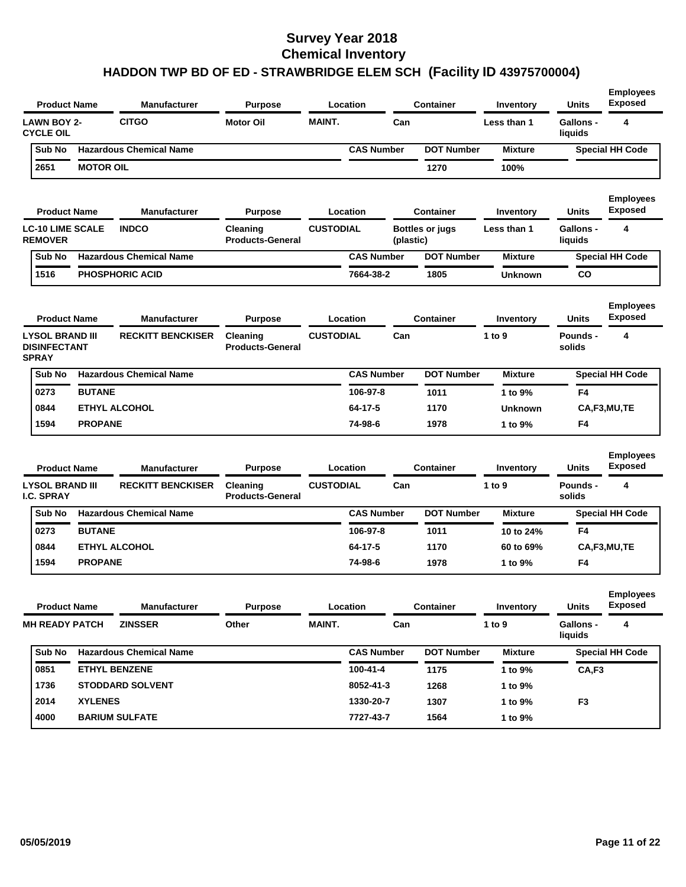| <b>Product Name</b>                                           |                  | <b>Manufacturer</b>            | <b>Purpose</b>                             |                  | Location          |           | <b>Container</b>       | Inventory      | <b>Units</b>                | <b>Employees</b><br><b>Exposed</b> |
|---------------------------------------------------------------|------------------|--------------------------------|--------------------------------------------|------------------|-------------------|-----------|------------------------|----------------|-----------------------------|------------------------------------|
| <b>LAWN BOY 2-</b><br><b>CYCLE OIL</b>                        |                  | <b>CITGO</b>                   | <b>Motor Oil</b>                           | <b>MAINT.</b>    |                   | Can       |                        | Less than 1    | <b>Gallons -</b><br>liquids | 4                                  |
| Sub No                                                        |                  | <b>Hazardous Chemical Name</b> |                                            |                  | <b>CAS Number</b> |           | <b>DOT Number</b>      | <b>Mixture</b> |                             | <b>Special HH Code</b>             |
| 2651                                                          | <b>MOTOR OIL</b> |                                |                                            |                  |                   |           | 1270                   | 100%           |                             |                                    |
| <b>Product Name</b>                                           |                  | <b>Manufacturer</b>            | <b>Purpose</b>                             |                  | Location          |           | <b>Container</b>       | Inventory      | Units                       | <b>Employees</b><br><b>Exposed</b> |
| <b>LC-10 LIME SCALE</b><br><b>REMOVER</b>                     |                  | <b>INDCO</b>                   | Cleaning<br><b>Products-General</b>        | <b>CUSTODIAL</b> |                   | (plastic) | <b>Bottles or jugs</b> | Less than 1    | Gallons -<br>liquids        | 4                                  |
| Sub No                                                        |                  | <b>Hazardous Chemical Name</b> |                                            |                  | <b>CAS Number</b> |           | <b>DOT Number</b>      | <b>Mixture</b> |                             | <b>Special HH Code</b>             |
| 1516                                                          |                  | <b>PHOSPHORIC ACID</b>         |                                            |                  | 7664-38-2         |           | 1805                   | <b>Unknown</b> | CO                          |                                    |
| <b>Product Name</b>                                           |                  | <b>Manufacturer</b>            | <b>Purpose</b>                             |                  | Location          |           | <b>Container</b>       | Inventory      | Units                       | <b>Employees</b><br>Exposed        |
| <b>LYSOL BRAND III</b><br><b>DISINFECTANT</b><br><b>SPRAY</b> |                  | <b>RECKITT BENCKISER</b>       | <b>Cleaning</b><br><b>Products-General</b> | <b>CUSTODIAL</b> |                   | Can       |                        | 1 to 9         | Pounds -<br>solids          | 4                                  |
| Sub No                                                        |                  | <b>Hazardous Chemical Name</b> |                                            |                  | <b>CAS Number</b> |           | <b>DOT Number</b>      | <b>Mixture</b> |                             | <b>Special HH Code</b>             |
| 0273                                                          | <b>BUTANE</b>    |                                |                                            |                  | 106-97-8          |           | 1011                   | 1 to 9%        | F4                          |                                    |
| 0844                                                          |                  | <b>ETHYL ALCOHOL</b>           |                                            |                  | 64-17-5           |           | 1170                   | <b>Unknown</b> |                             | CA,F3,MU,TE                        |
| 1594                                                          | <b>PROPANE</b>   |                                |                                            |                  | 74-98-6           |           | 1978                   | 1 to 9%        | F4                          |                                    |
| <b>Product Name</b>                                           |                  | <b>Manufacturer</b>            | <b>Purpose</b>                             |                  | Location          |           | <b>Container</b>       | Inventory      | <b>Units</b>                | <b>Employees</b><br><b>Exposed</b> |
| <b>LYSOL BRAND III</b><br><b>I.C. SPRAY</b>                   |                  | <b>RECKITT BENCKISER</b>       | Cleaning<br><b>Products-General</b>        | <b>CUSTODIAL</b> |                   | Can       |                        | 1 to 9         | Pounds -<br>solids          | 4                                  |
| Sub No                                                        |                  | <b>Hazardous Chemical Name</b> |                                            |                  | <b>CAS Number</b> |           | <b>DOT Number</b>      | <b>Mixture</b> |                             | <b>Special HH Code</b>             |
| 0273                                                          | <b>BUTANE</b>    |                                |                                            |                  | 106-97-8          |           | 1011                   | 10 to 24%      | F4                          |                                    |
| 0844                                                          |                  | <b>ETHYL ALCOHOL</b>           |                                            |                  | 64-17-5           |           | 1170                   | 60 to 69%      |                             | CA,F3,MU,TE                        |
| 1594                                                          | <b>PROPANE</b>   |                                |                                            |                  | 74-98-6           |           | 1978                   | 1 to 9%        | F4                          |                                    |
| <b>Product Name</b>                                           |                  | <b>Manufacturer</b>            | <b>Purpose</b>                             |                  | Location          |           | Container              | Inventory      | <b>Units</b>                | <b>Employees</b><br><b>Exposed</b> |
| <b>MH READY PATCH</b>                                         |                  | <b>ZINSSER</b>                 | Other                                      | MAINT.           |                   | Can       |                        | 1 to 9         | <b>Gallons -</b><br>liquids | 4                                  |
| Sub No                                                        |                  | <b>Hazardous Chemical Name</b> |                                            |                  | <b>CAS Number</b> |           | <b>DOT Number</b>      | <b>Mixture</b> |                             | <b>Special HH Code</b>             |
| 0851                                                          |                  | <b>ETHYL BENZENE</b>           |                                            |                  | 100-41-4          |           | 1175                   | 1 to 9%        | CA,F3                       |                                    |
| 1736                                                          |                  | <b>STODDARD SOLVENT</b>        |                                            |                  | 8052-41-3         |           | 1268                   | 1 to 9%        |                             |                                    |
| 2014                                                          | <b>XYLENES</b>   |                                |                                            |                  | 1330-20-7         |           | 1307                   | 1 to 9%        | F <sub>3</sub>              |                                    |
| 4000                                                          |                  | <b>BARIUM SULFATE</b>          |                                            |                  | 7727-43-7         |           | 1564                   | 1 to 9%        |                             |                                    |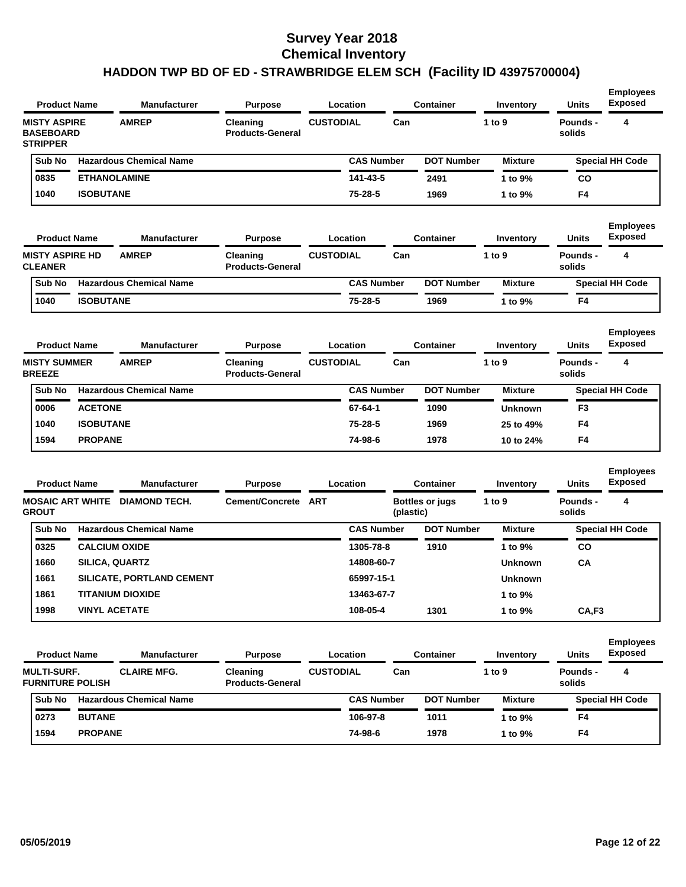| <b>Product Name</b>                                        |                  | <b>Manufacturer</b>                   | <b>Purpose</b>                      |                  | Location          |           | <b>Container</b>       | Inventory      | <b>Units</b>       | <b>Employees</b><br><b>Exposed</b> |
|------------------------------------------------------------|------------------|---------------------------------------|-------------------------------------|------------------|-------------------|-----------|------------------------|----------------|--------------------|------------------------------------|
| <b>MISTY ASPIRE</b><br><b>BASEBOARD</b><br><b>STRIPPER</b> |                  | <b>AMREP</b>                          | Cleaning<br><b>Products-General</b> | <b>CUSTODIAL</b> |                   | Can       |                        | 1 to 9         | Pounds -<br>solids | 4                                  |
| Sub No                                                     |                  | <b>Hazardous Chemical Name</b>        |                                     |                  | <b>CAS Number</b> |           | <b>DOT Number</b>      | <b>Mixture</b> |                    | <b>Special HH Code</b>             |
| 0835                                                       |                  | <b>ETHANOLAMINE</b>                   |                                     |                  | 141-43-5          |           | 2491                   | 1 to 9%        | CO                 |                                    |
| 1040                                                       | <b>ISOBUTANE</b> |                                       |                                     |                  | 75-28-5           |           | 1969                   | 1 to 9%        | F <sub>4</sub>     |                                    |
| <b>Product Name</b>                                        |                  | <b>Manufacturer</b>                   | <b>Purpose</b>                      |                  | Location          |           | <b>Container</b>       | Inventory      | <b>Units</b>       | <b>Employees</b><br><b>Exposed</b> |
| <b>MISTY ASPIRE HD</b><br><b>CLEANER</b>                   |                  | <b>AMREP</b>                          | Cleaning<br><b>Products-General</b> | <b>CUSTODIAL</b> |                   | Can       |                        | 1 to 9         | Pounds -<br>solids | 4                                  |
| Sub No                                                     |                  | <b>Hazardous Chemical Name</b>        |                                     |                  | <b>CAS Number</b> |           | <b>DOT Number</b>      | <b>Mixture</b> |                    | <b>Special HH Code</b>             |
| 1040                                                       | <b>ISOBUTANE</b> |                                       |                                     |                  | 75-28-5           |           | 1969                   | 1 to 9%        | F4                 |                                    |
| <b>Product Name</b>                                        |                  | <b>Manufacturer</b>                   | <b>Purpose</b>                      |                  | Location          |           | <b>Container</b>       | Inventory      | <b>Units</b>       | <b>Employees</b><br><b>Exposed</b> |
| <b>MISTY SUMMER</b><br><b>BREEZE</b>                       |                  | <b>AMREP</b>                          | Cleaning<br><b>Products-General</b> | <b>CUSTODIAL</b> |                   | Can       |                        | 1 to 9         | Pounds -<br>solids | 4                                  |
| Sub No                                                     |                  | <b>Hazardous Chemical Name</b>        |                                     |                  | <b>CAS Number</b> |           | <b>DOT Number</b>      | <b>Mixture</b> |                    | <b>Special HH Code</b>             |
| 0006                                                       | <b>ACETONE</b>   |                                       |                                     |                  | 67-64-1           |           | 1090                   | <b>Unknown</b> | F <sub>3</sub>     |                                    |
| 1040                                                       | <b>ISOBUTANE</b> |                                       |                                     |                  | 75-28-5           |           | 1969                   | 25 to 49%      | F <sub>4</sub>     |                                    |
| 1594                                                       | <b>PROPANE</b>   |                                       |                                     |                  | 74-98-6           |           | 1978                   | 10 to 24%      | F4                 |                                    |
| <b>Product Name</b>                                        |                  | <b>Manufacturer</b>                   | <b>Purpose</b>                      |                  | Location          |           | <b>Container</b>       | Inventory      | <b>Units</b>       | <b>Employees</b><br><b>Exposed</b> |
| <b>GROUT</b>                                               |                  | <b>MOSAIC ART WHITE DIAMOND TECH.</b> | Cement/Concrete ART                 |                  |                   | (plastic) | <b>Bottles or jugs</b> | 1 to 9         | Pounds -<br>solids | 4                                  |
| Sub No                                                     |                  | <b>Hazardous Chemical Name</b>        |                                     |                  | <b>CAS Number</b> |           | <b>DOT Number</b>      | <b>Mixture</b> |                    | <b>Special HH Code</b>             |
| 0325                                                       |                  | <b>CALCIUM OXIDE</b>                  |                                     |                  | 1305-78-8         |           | 1910                   | 1 to 9%        | CO                 |                                    |
| 1660                                                       |                  | SILICA, QUARTZ                        |                                     |                  | 14808-60-7        |           |                        | <b>Unknown</b> | CA                 |                                    |
| 1661                                                       |                  | SILICATE, PORTLAND CEMENT             |                                     |                  | 65997-15-1        |           |                        | <b>Unknown</b> |                    |                                    |
| 1861                                                       |                  | <b>TITANIUM DIOXIDE</b>               |                                     |                  | 13463-67-7        |           |                        | 1 to 9%        |                    |                                    |
| 1998                                                       |                  | <b>VINYL ACETATE</b>                  |                                     |                  | 108-05-4          |           | 1301                   | 1 to 9%        | CA,F3              |                                    |
| <b>Product Name</b>                                        |                  | <b>Manufacturer</b>                   | <b>Purpose</b>                      |                  | Location          |           | Container              | Inventory      | Units              | <b>Employees</b><br><b>Exposed</b> |

| <b>Product Name</b>                           |                | <b>Manufacturer</b><br><b>Purpose</b> |                                     | Location         |                   | <b>Container</b> |                   | Inventory      | <b>Units</b>       | Exposed                |
|-----------------------------------------------|----------------|---------------------------------------|-------------------------------------|------------------|-------------------|------------------|-------------------|----------------|--------------------|------------------------|
| <b>MULTI-SURF.</b><br><b>FURNITURE POLISH</b> |                | <b>CLAIRE MFG.</b>                    | Cleaning<br><b>Products-General</b> | <b>CUSTODIAL</b> |                   | Can              |                   | 1 to 9         | Pounds -<br>solids | 4                      |
| Sub No                                        |                | <b>Hazardous Chemical Name</b>        |                                     |                  | <b>CAS Number</b> |                  | <b>DOT Number</b> | <b>Mixture</b> |                    | <b>Special HH Code</b> |
| 0273                                          | <b>BUTANE</b>  |                                       |                                     |                  | 106-97-8          |                  | 1011              | 1 to 9%        | F4                 |                        |
| 1594                                          | <b>PROPANE</b> |                                       |                                     |                  | 74-98-6           |                  | 1978              | 1 to 9%        | F4                 |                        |
|                                               |                |                                       |                                     |                  |                   |                  |                   |                |                    |                        |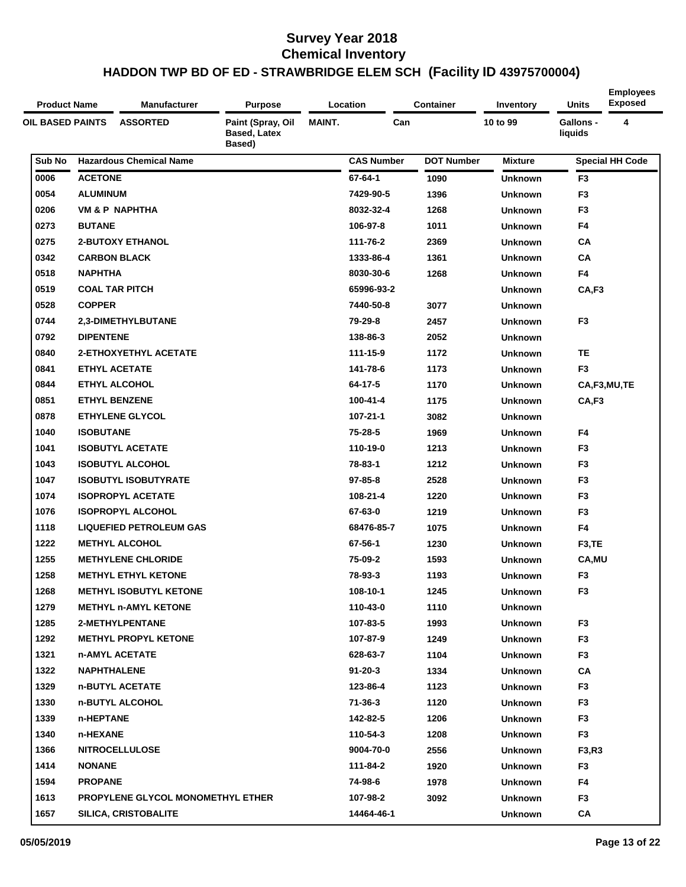| <b>Product Name</b>     | <b>Manufacturer</b>               | <b>Purpose</b>                              |               | Location          | <b>Container</b>  | Inventory      | Units                       | <b>Employees</b><br><b>Exposed</b> |
|-------------------------|-----------------------------------|---------------------------------------------|---------------|-------------------|-------------------|----------------|-----------------------------|------------------------------------|
| <b>OIL BASED PAINTS</b> | <b>ASSORTED</b>                   | Paint (Spray, Oil<br>Based, Latex<br>Based) | <b>MAINT.</b> | Can               |                   | 10 to 99       | <b>Gallons -</b><br>liquids | 4                                  |
| Sub No                  | <b>Hazardous Chemical Name</b>    |                                             |               | <b>CAS Number</b> | <b>DOT Number</b> | <b>Mixture</b> |                             | <b>Special HH Code</b>             |
| 0006                    | <b>ACETONE</b>                    |                                             |               | 67-64-1           | 1090              | Unknown        | F <sub>3</sub>              |                                    |
| 0054                    | <b>ALUMINUM</b>                   |                                             |               | 7429-90-5         | 1396              | <b>Unknown</b> | F <sub>3</sub>              |                                    |
| 0206                    | VM & P NAPHTHA                    |                                             |               | 8032-32-4         | 1268              | <b>Unknown</b> | F <sub>3</sub>              |                                    |
| 0273                    | <b>BUTANE</b>                     |                                             |               | 106-97-8          | 1011              | Unknown        | F4                          |                                    |
| 0275                    | <b>2-BUTOXY ETHANOL</b>           |                                             |               | 111-76-2          | 2369              | <b>Unknown</b> | CA                          |                                    |
| 0342                    | <b>CARBON BLACK</b>               |                                             |               | 1333-86-4         | 1361              | <b>Unknown</b> | CA                          |                                    |
| 0518                    | <b>NAPHTHA</b>                    |                                             |               | 8030-30-6         | 1268              | <b>Unknown</b> | F4                          |                                    |
| 0519                    | <b>COAL TAR PITCH</b>             |                                             |               | 65996-93-2        |                   | <b>Unknown</b> | CA,F3                       |                                    |
| 0528                    | <b>COPPER</b>                     |                                             |               | 7440-50-8         | 3077              | <b>Unknown</b> |                             |                                    |
| 0744                    | 2,3-DIMETHYLBUTANE                |                                             |               | 79-29-8           | 2457              | <b>Unknown</b> | F <sub>3</sub>              |                                    |
| 0792                    | <b>DIPENTENE</b>                  |                                             |               | 138-86-3          | 2052              | Unknown        |                             |                                    |
| 0840                    | <b>2-ETHOXYETHYL ACETATE</b>      |                                             |               | 111-15-9          | 1172              | Unknown        | <b>TE</b>                   |                                    |
| 0841                    | <b>ETHYL ACETATE</b>              |                                             |               | 141-78-6          | 1173              | <b>Unknown</b> | F <sub>3</sub>              |                                    |
| 0844                    | <b>ETHYL ALCOHOL</b>              |                                             |               | 64-17-5           | 1170              | <b>Unknown</b> |                             | CA,F3,MU,TE                        |
| 0851                    | <b>ETHYL BENZENE</b>              |                                             |               | 100-41-4          | 1175              | <b>Unknown</b> | CA,F3                       |                                    |
| 0878                    | <b>ETHYLENE GLYCOL</b>            |                                             |               | $107 - 21 - 1$    | 3082              | <b>Unknown</b> |                             |                                    |
| 1040                    | <b>ISOBUTANE</b>                  |                                             |               | 75-28-5           | 1969              | <b>Unknown</b> | F4                          |                                    |
| 1041                    | <b>ISOBUTYL ACETATE</b>           |                                             |               | 110-19-0          | 1213              | <b>Unknown</b> | F <sub>3</sub>              |                                    |
| 1043                    | <b>ISOBUTYL ALCOHOL</b>           |                                             |               | 78-83-1           | 1212              | <b>Unknown</b> | F <sub>3</sub>              |                                    |
| 1047                    | <b>ISOBUTYL ISOBUTYRATE</b>       |                                             |               | $97 - 85 - 8$     | 2528              | Unknown        | F <sub>3</sub>              |                                    |
| 1074                    | <b>ISOPROPYL ACETATE</b>          |                                             |               | 108-21-4          | 1220              | <b>Unknown</b> | F <sub>3</sub>              |                                    |
| 1076                    | <b>ISOPROPYL ALCOHOL</b>          |                                             |               | 67-63-0           | 1219              | <b>Unknown</b> | F <sub>3</sub>              |                                    |
| 1118                    | <b>LIQUEFIED PETROLEUM GAS</b>    |                                             |               | 68476-85-7        | 1075              | Unknown        | F4                          |                                    |
| 1222                    | <b>METHYL ALCOHOL</b>             |                                             |               | 67-56-1           | 1230              | <b>Unknown</b> | F <sub>3</sub> ,TE          |                                    |
| 1255                    | <b>METHYLENE CHLORIDE</b>         |                                             |               | 75-09-2           | 1593              | <b>Unknown</b> | CA, MU                      |                                    |
| 1258                    | <b>METHYL ETHYL KETONE</b>        |                                             |               | 78-93-3           | 1193              | Unknown        | F <sub>3</sub>              |                                    |
| 1268                    | <b>METHYL ISOBUTYL KETONE</b>     |                                             |               | 108-10-1          | 1245              | <b>Unknown</b> | F <sub>3</sub>              |                                    |
| 1279                    | <b>METHYL n-AMYL KETONE</b>       |                                             |               | 110-43-0          | 1110              | Unknown        |                             |                                    |
| 1285                    | 2-METHYLPENTANE                   |                                             |               | 107-83-5          | 1993              | <b>Unknown</b> | F <sub>3</sub>              |                                    |
| 1292                    | <b>METHYL PROPYL KETONE</b>       |                                             |               | 107-87-9          | 1249              | Unknown        | F <sub>3</sub>              |                                    |
| 1321                    | n-AMYL ACETATE                    |                                             |               | 628-63-7          | 1104              | Unknown        | F <sub>3</sub>              |                                    |
| 1322                    | <b>NAPHTHALENE</b>                |                                             |               | $91 - 20 - 3$     | 1334              | <b>Unknown</b> | CA                          |                                    |
| 1329                    | n-BUTYL ACETATE                   |                                             |               | 123-86-4          | 1123              | Unknown        | F3                          |                                    |
| 1330                    | n-BUTYL ALCOHOL                   |                                             |               | $71 - 36 - 3$     | 1120              | Unknown        | F <sub>3</sub>              |                                    |
| 1339                    | n-HEPTANE                         |                                             |               | 142-82-5          | 1206              | <b>Unknown</b> | F <sub>3</sub>              |                                    |
| 1340                    | n-HEXANE                          |                                             |               | 110-54-3          | 1208              | Unknown        | F <sub>3</sub>              |                                    |
| 1366                    | <b>NITROCELLULOSE</b>             |                                             |               | 9004-70-0         | 2556              | Unknown        | F3,R3                       |                                    |
| 1414                    | <b>NONANE</b>                     |                                             |               | 111-84-2          | 1920              | <b>Unknown</b> | F3                          |                                    |
| 1594                    | <b>PROPANE</b>                    |                                             |               | 74-98-6           | 1978              | Unknown        | F4                          |                                    |
| 1613                    | PROPYLENE GLYCOL MONOMETHYL ETHER |                                             |               | 107-98-2          | 3092              | Unknown        | F <sub>3</sub>              |                                    |
| 1657                    | <b>SILICA, CRISTOBALITE</b>       |                                             |               | 14464-46-1        |                   | Unknown        | CA                          |                                    |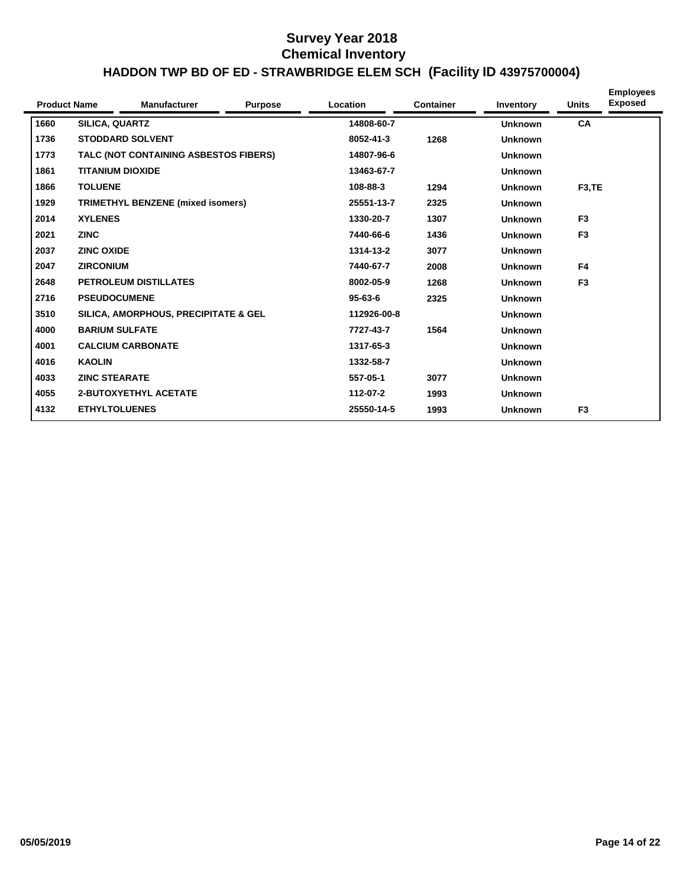| <b>Product Name</b> |                         | <b>Manufacturer</b>                      | <b>Purpose</b> | <b>Location</b> | <b>Container</b> | Inventory      | <b>Units</b>       | <b>Employees</b><br><b>Exposed</b> |
|---------------------|-------------------------|------------------------------------------|----------------|-----------------|------------------|----------------|--------------------|------------------------------------|
| 1660                | SILICA, QUARTZ          |                                          |                | 14808-60-7      |                  | <b>Unknown</b> | CA                 |                                    |
| 1736                |                         | <b>STODDARD SOLVENT</b>                  |                | 8052-41-3       | 1268             | <b>Unknown</b> |                    |                                    |
| 1773                |                         | TALC (NOT CONTAINING ASBESTOS FIBERS)    |                | 14807-96-6      |                  | <b>Unknown</b> |                    |                                    |
| 1861                | <b>TITANIUM DIOXIDE</b> |                                          |                | 13463-67-7      |                  | <b>Unknown</b> |                    |                                    |
| 1866                | <b>TOLUENE</b>          |                                          |                | 108-88-3        | 1294             | <b>Unknown</b> | F <sub>3</sub> ,TE |                                    |
| 1929                |                         | <b>TRIMETHYL BENZENE (mixed isomers)</b> |                | 25551-13-7      | 2325             | <b>Unknown</b> |                    |                                    |
| 2014                | <b>XYLENES</b>          |                                          |                | 1330-20-7       | 1307             | <b>Unknown</b> | F <sub>3</sub>     |                                    |
| 2021                | <b>ZINC</b>             |                                          |                | 7440-66-6       | 1436             | <b>Unknown</b> | F <sub>3</sub>     |                                    |
| 2037                | <b>ZINC OXIDE</b>       |                                          |                | 1314-13-2       | 3077             | <b>Unknown</b> |                    |                                    |
| 2047                | <b>ZIRCONIUM</b>        |                                          |                | 7440-67-7       | 2008             | <b>Unknown</b> | F <sub>4</sub>     |                                    |
| 2648                |                         | <b>PETROLEUM DISTILLATES</b>             |                | 8002-05-9       | 1268             | <b>Unknown</b> | F <sub>3</sub>     |                                    |
| 2716                | <b>PSEUDOCUMENE</b>     |                                          |                | $95 - 63 - 6$   | 2325             | <b>Unknown</b> |                    |                                    |
| 3510                |                         | SILICA, AMORPHOUS, PRECIPITATE & GEL     |                | 112926-00-8     |                  | <b>Unknown</b> |                    |                                    |
| 4000                | <b>BARIUM SULFATE</b>   |                                          |                | 7727-43-7       | 1564             | <b>Unknown</b> |                    |                                    |
| 4001                |                         | <b>CALCIUM CARBONATE</b>                 |                | 1317-65-3       |                  | <b>Unknown</b> |                    |                                    |
| 4016                | <b>KAOLIN</b>           |                                          |                | 1332-58-7       |                  | <b>Unknown</b> |                    |                                    |
| 4033                | <b>ZINC STEARATE</b>    |                                          |                | 557-05-1        | 3077             | <b>Unknown</b> |                    |                                    |
| 4055                |                         | <b>2-BUTOXYETHYL ACETATE</b>             |                | 112-07-2        | 1993             | <b>Unknown</b> |                    |                                    |
| 4132                | <b>ETHYLTOLUENES</b>    |                                          |                | 25550-14-5      | 1993             | <b>Unknown</b> | F <sub>3</sub>     |                                    |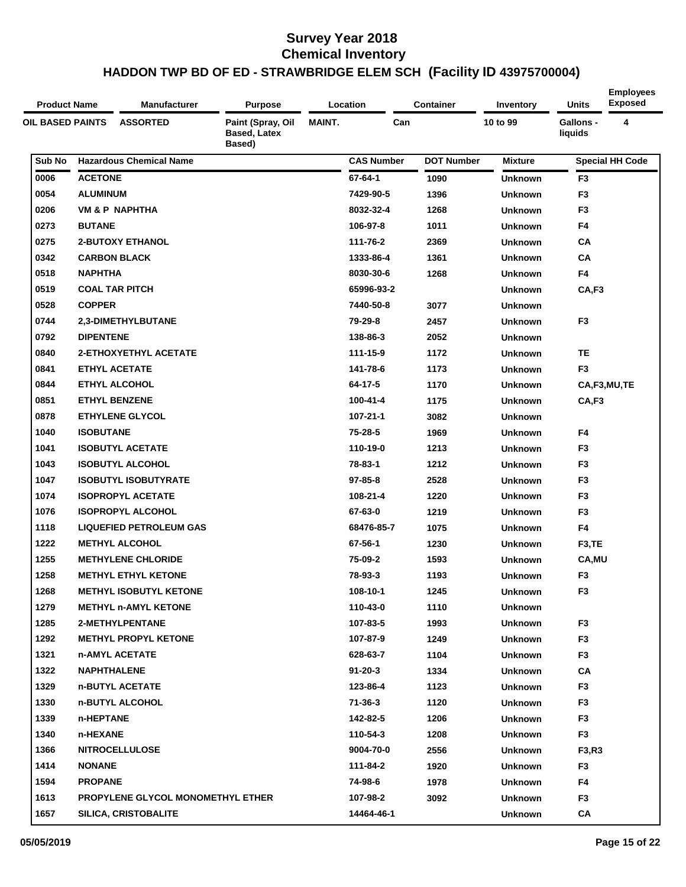| <b>Product Name</b>     | <b>Manufacturer</b>               | <b>Purpose</b>                              |               | Location          | <b>Container</b>  | Inventory      | Units                       | <b>Employees</b><br><b>Exposed</b> |
|-------------------------|-----------------------------------|---------------------------------------------|---------------|-------------------|-------------------|----------------|-----------------------------|------------------------------------|
| <b>OIL BASED PAINTS</b> | <b>ASSORTED</b>                   | Paint (Spray, Oil<br>Based, Latex<br>Based) | <b>MAINT.</b> | Can               |                   | 10 to 99       | <b>Gallons -</b><br>liquids | 4                                  |
| Sub No                  | <b>Hazardous Chemical Name</b>    |                                             |               | <b>CAS Number</b> | <b>DOT Number</b> | <b>Mixture</b> |                             | <b>Special HH Code</b>             |
| 0006                    | <b>ACETONE</b>                    |                                             |               | 67-64-1           | 1090              | Unknown        | F <sub>3</sub>              |                                    |
| 0054                    | <b>ALUMINUM</b>                   |                                             |               | 7429-90-5         | 1396              | <b>Unknown</b> | F <sub>3</sub>              |                                    |
| 0206                    | VM & P NAPHTHA                    |                                             |               | 8032-32-4         | 1268              | <b>Unknown</b> | F <sub>3</sub>              |                                    |
| 0273                    | <b>BUTANE</b>                     |                                             |               | 106-97-8          | 1011              | Unknown        | F4                          |                                    |
| 0275                    | <b>2-BUTOXY ETHANOL</b>           |                                             |               | 111-76-2          | 2369              | <b>Unknown</b> | CA                          |                                    |
| 0342                    | <b>CARBON BLACK</b>               |                                             |               | 1333-86-4         | 1361              | <b>Unknown</b> | CA                          |                                    |
| 0518                    | <b>NAPHTHA</b>                    |                                             |               | 8030-30-6         | 1268              | <b>Unknown</b> | F4                          |                                    |
| 0519                    | <b>COAL TAR PITCH</b>             |                                             |               | 65996-93-2        |                   | <b>Unknown</b> | CA,F3                       |                                    |
| 0528                    | <b>COPPER</b>                     |                                             |               | 7440-50-8         | 3077              | <b>Unknown</b> |                             |                                    |
| 0744                    | 2,3-DIMETHYLBUTANE                |                                             |               | 79-29-8           | 2457              | <b>Unknown</b> | F <sub>3</sub>              |                                    |
| 0792                    | <b>DIPENTENE</b>                  |                                             |               | 138-86-3          | 2052              | Unknown        |                             |                                    |
| 0840                    | <b>2-ETHOXYETHYL ACETATE</b>      |                                             |               | 111-15-9          | 1172              | Unknown        | <b>TE</b>                   |                                    |
| 0841                    | <b>ETHYL ACETATE</b>              |                                             |               | 141-78-6          | 1173              | <b>Unknown</b> | F <sub>3</sub>              |                                    |
| 0844                    | <b>ETHYL ALCOHOL</b>              |                                             |               | 64-17-5           | 1170              | <b>Unknown</b> |                             | CA,F3,MU,TE                        |
| 0851                    | <b>ETHYL BENZENE</b>              |                                             |               | 100-41-4          | 1175              | <b>Unknown</b> | CA,F3                       |                                    |
| 0878                    | <b>ETHYLENE GLYCOL</b>            |                                             |               | $107 - 21 - 1$    | 3082              | <b>Unknown</b> |                             |                                    |
| 1040                    | <b>ISOBUTANE</b>                  |                                             |               | 75-28-5           | 1969              | <b>Unknown</b> | F4                          |                                    |
| 1041                    | <b>ISOBUTYL ACETATE</b>           |                                             |               | 110-19-0          | 1213              | <b>Unknown</b> | F <sub>3</sub>              |                                    |
| 1043                    | <b>ISOBUTYL ALCOHOL</b>           |                                             |               | 78-83-1           | 1212              | <b>Unknown</b> | F <sub>3</sub>              |                                    |
| 1047                    | <b>ISOBUTYL ISOBUTYRATE</b>       |                                             |               | $97 - 85 - 8$     | 2528              | Unknown        | F <sub>3</sub>              |                                    |
| 1074                    | <b>ISOPROPYL ACETATE</b>          |                                             |               | 108-21-4          | 1220              | <b>Unknown</b> | F <sub>3</sub>              |                                    |
| 1076                    | <b>ISOPROPYL ALCOHOL</b>          |                                             |               | 67-63-0           | 1219              | <b>Unknown</b> | F <sub>3</sub>              |                                    |
| 1118                    | <b>LIQUEFIED PETROLEUM GAS</b>    |                                             |               | 68476-85-7        | 1075              | Unknown        | F4                          |                                    |
| 1222                    | <b>METHYL ALCOHOL</b>             |                                             |               | 67-56-1           | 1230              | <b>Unknown</b> | F <sub>3</sub> ,TE          |                                    |
| 1255                    | <b>METHYLENE CHLORIDE</b>         |                                             |               | 75-09-2           | 1593              | <b>Unknown</b> | CA, MU                      |                                    |
| 1258                    | <b>METHYL ETHYL KETONE</b>        |                                             |               | 78-93-3           | 1193              | Unknown        | F <sub>3</sub>              |                                    |
| 1268                    | <b>METHYL ISOBUTYL KETONE</b>     |                                             |               | 108-10-1          | 1245              | <b>Unknown</b> | F <sub>3</sub>              |                                    |
| 1279                    | <b>METHYL n-AMYL KETONE</b>       |                                             |               | 110-43-0          | 1110              | Unknown        |                             |                                    |
| 1285                    | 2-METHYLPENTANE                   |                                             |               | 107-83-5          | 1993              | <b>Unknown</b> | F <sub>3</sub>              |                                    |
| 1292                    | <b>METHYL PROPYL KETONE</b>       |                                             |               | 107-87-9          | 1249              | Unknown        | F <sub>3</sub>              |                                    |
| 1321                    | n-AMYL ACETATE                    |                                             |               | 628-63-7          | 1104              | Unknown        | F <sub>3</sub>              |                                    |
| 1322                    | <b>NAPHTHALENE</b>                |                                             |               | $91 - 20 - 3$     | 1334              | <b>Unknown</b> | CA                          |                                    |
| 1329                    | n-BUTYL ACETATE                   |                                             |               | 123-86-4          | 1123              | Unknown        | F3                          |                                    |
| 1330                    | n-BUTYL ALCOHOL                   |                                             |               | $71 - 36 - 3$     | 1120              | Unknown        | F <sub>3</sub>              |                                    |
| 1339                    | n-HEPTANE                         |                                             |               | 142-82-5          | 1206              | <b>Unknown</b> | F <sub>3</sub>              |                                    |
| 1340                    | n-HEXANE                          |                                             |               | 110-54-3          | 1208              | Unknown        | F <sub>3</sub>              |                                    |
| 1366                    | <b>NITROCELLULOSE</b>             |                                             |               | 9004-70-0         | 2556              | Unknown        | F3,R3                       |                                    |
| 1414                    | <b>NONANE</b>                     |                                             |               | 111-84-2          | 1920              | <b>Unknown</b> | F3                          |                                    |
| 1594                    | <b>PROPANE</b>                    |                                             |               | 74-98-6           | 1978              | Unknown        | F4                          |                                    |
| 1613                    | PROPYLENE GLYCOL MONOMETHYL ETHER |                                             |               | 107-98-2          | 3092              | Unknown        | F <sub>3</sub>              |                                    |
| 1657                    | <b>SILICA, CRISTOBALITE</b>       |                                             |               | 14464-46-1        |                   | Unknown        | CA                          |                                    |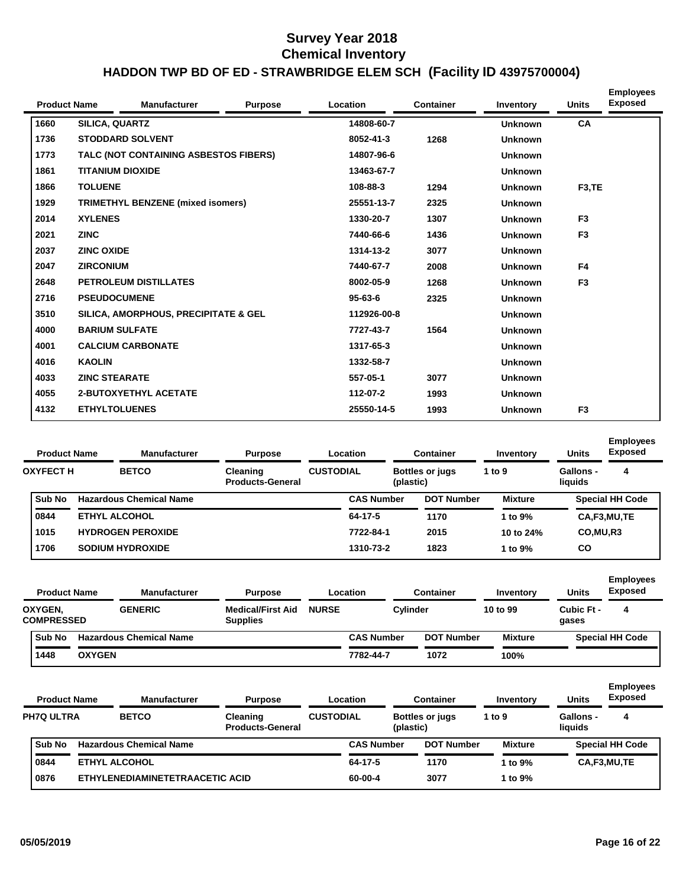| <b>Product Name</b> |                       | <b>Manufacturer</b>                   | <b>Purpose</b> | <b>Location</b> | <b>Container</b> | Inventory      | <b>Units</b>        | <b>Employees</b><br><b>Exposed</b> |
|---------------------|-----------------------|---------------------------------------|----------------|-----------------|------------------|----------------|---------------------|------------------------------------|
| 1660                | <b>SILICA, QUARTZ</b> |                                       |                | 14808-60-7      |                  | <b>Unknown</b> | <b>CA</b>           |                                    |
| 1736                |                       | <b>STODDARD SOLVENT</b>               |                | 8052-41-3       | 1268             | <b>Unknown</b> |                     |                                    |
| 1773                |                       | TALC (NOT CONTAINING ASBESTOS FIBERS) |                | 14807-96-6      |                  | <b>Unknown</b> |                     |                                    |
| 1861                |                       | <b>TITANIUM DIOXIDE</b>               |                | 13463-67-7      |                  | <b>Unknown</b> |                     |                                    |
| 1866                | <b>TOLUENE</b>        |                                       |                | 108-88-3        | 1294             | <b>Unknown</b> | F <sub>3</sub> , TE |                                    |
| 1929                |                       | TRIMETHYL BENZENE (mixed isomers)     |                | 25551-13-7      | 2325             | <b>Unknown</b> |                     |                                    |
| 2014                | <b>XYLENES</b>        |                                       |                | 1330-20-7       | 1307             | <b>Unknown</b> | F <sub>3</sub>      |                                    |
| 2021                | <b>ZINC</b>           |                                       |                | 7440-66-6       | 1436             | <b>Unknown</b> | F <sub>3</sub>      |                                    |
| 2037                | <b>ZINC OXIDE</b>     |                                       |                | 1314-13-2       | 3077             | <b>Unknown</b> |                     |                                    |
| 2047                | <b>ZIRCONIUM</b>      |                                       |                | 7440-67-7       | 2008             | <b>Unknown</b> | F4                  |                                    |
| 2648                |                       | <b>PETROLEUM DISTILLATES</b>          |                | 8002-05-9       | 1268             | <b>Unknown</b> | F <sub>3</sub>      |                                    |
| 2716                | <b>PSEUDOCUMENE</b>   |                                       |                | $95 - 63 - 6$   | 2325             | <b>Unknown</b> |                     |                                    |
| 3510                |                       | SILICA, AMORPHOUS, PRECIPITATE & GEL  |                | 112926-00-8     |                  | <b>Unknown</b> |                     |                                    |
| 4000                | <b>BARIUM SULFATE</b> |                                       |                | 7727-43-7       | 1564             | <b>Unknown</b> |                     |                                    |
| 4001                |                       | <b>CALCIUM CARBONATE</b>              |                | 1317-65-3       |                  | <b>Unknown</b> |                     |                                    |
| 4016                | <b>KAOLIN</b>         |                                       |                | 1332-58-7       |                  | <b>Unknown</b> |                     |                                    |
| 4033                | <b>ZINC STEARATE</b>  |                                       |                | 557-05-1        | 3077             | <b>Unknown</b> |                     |                                    |
| 4055                |                       | <b>2-BUTOXYETHYL ACETATE</b>          |                | 112-07-2        | 1993             | <b>Unknown</b> |                     |                                    |
| 4132                | <b>ETHYLTOLUENES</b>  |                                       |                | 25550-14-5      | 1993             | <b>Unknown</b> | F <sub>3</sub>      |                                    |

| <b>Product Name</b> |  | <b>Manufacturer</b><br><b>Purpose</b> |                                                                                                               |           | <b>Container</b>             |                                | Inventory                           | <b>Units</b>         | <b>Employees</b><br><b>Exposed</b> |
|---------------------|--|---------------------------------------|---------------------------------------------------------------------------------------------------------------|-----------|------------------------------|--------------------------------|-------------------------------------|----------------------|------------------------------------|
|                     |  | <b>BETCO</b>                          | <b>Cleaning</b><br><b>Products-General</b>                                                                    |           |                              |                                | 1 to $9$                            | Gallons -<br>liauids | 4                                  |
| <b>Sub No</b>       |  |                                       |                                                                                                               |           |                              |                                | <b>Mixture</b>                      |                      | <b>Special HH Code</b>             |
| 0844                |  |                                       |                                                                                                               | 64-17-5   |                              | 1170                           | 1 to 9%                             |                      | CA,F3,MU,TE                        |
| 1015                |  |                                       |                                                                                                               | 7722-84-1 |                              | 2015                           | 10 to 24%                           | CO, MU, R3           |                                    |
| 1706                |  |                                       |                                                                                                               |           |                              | 1823                           | 1 to $9\%$                          | CO                   |                                    |
|                     |  | <b>OXYFECT H</b>                      | <b>Hazardous Chemical Name</b><br><b>ETHYL ALCOHOL</b><br><b>HYDROGEN PEROXIDE</b><br><b>SODIUM HYDROXIDE</b> |           | Location<br><b>CUSTODIAL</b> | <b>CAS Number</b><br>1310-73-2 | <b>Bottles or jugs</b><br>(plastic) | <b>DOT Number</b>    |                                    |

| <b>Product Name</b> |                              |               | <b>Manufacturer</b>            | <b>Purpose</b>                              |              | Location          | Container         | Inventory      | <b>Units</b>        | <b>Employees</b><br><b>Exposed</b> |
|---------------------|------------------------------|---------------|--------------------------------|---------------------------------------------|--------------|-------------------|-------------------|----------------|---------------------|------------------------------------|
|                     | OXYGEN,<br><b>COMPRESSED</b> |               | <b>GENERIC</b>                 | <b>Medical/First Aid</b><br><b>Supplies</b> | <b>NURSE</b> | Cylinder          |                   | 10 to 99       | Cubic Ft -<br>gases | 4                                  |
|                     | Sub No                       |               | <b>Hazardous Chemical Name</b> |                                             |              | <b>CAS Number</b> | <b>DOT Number</b> | <b>Mixture</b> |                     | <b>Special HH Code</b>             |
|                     | 1448                         | <b>OXYGEN</b> |                                |                                             |              | 7782-44-7         | 1072              | 100%           |                     |                                    |

| <b>Product Name</b> |  | <b>Manufacturer</b>             | <b>Purpose</b>                      |                  | Container<br>Location |                                     |                   | Inventory      | <b>Units</b>                | <b>Employees</b><br><b>Exposed</b> |
|---------------------|--|---------------------------------|-------------------------------------|------------------|-----------------------|-------------------------------------|-------------------|----------------|-----------------------------|------------------------------------|
| <b>PH7Q ULTRA</b>   |  | <b>BETCO</b>                    | Cleaning<br><b>Products-General</b> | <b>CUSTODIAL</b> |                       | <b>Bottles or jugs</b><br>(plastic) |                   | 1 to $9$       | <b>Gallons -</b><br>liquids | 4                                  |
| <b>Sub No</b>       |  | <b>Hazardous Chemical Name</b>  |                                     |                  | <b>CAS Number</b>     |                                     | <b>DOT Number</b> | <b>Mixture</b> |                             | <b>Special HH Code</b>             |
| 0844                |  | <b>ETHYL ALCOHOL</b>            |                                     |                  | 64-17-5               |                                     | 1170              | 1 to 9%        |                             | CA,F3,MU,TE                        |
| 0876                |  | ETHYLENEDIAMINETETRAACETIC ACID |                                     |                  | 60-00-4               |                                     | 3077              | 1 to 9%        |                             |                                    |
|                     |  |                                 |                                     |                  |                       |                                     |                   |                |                             |                                    |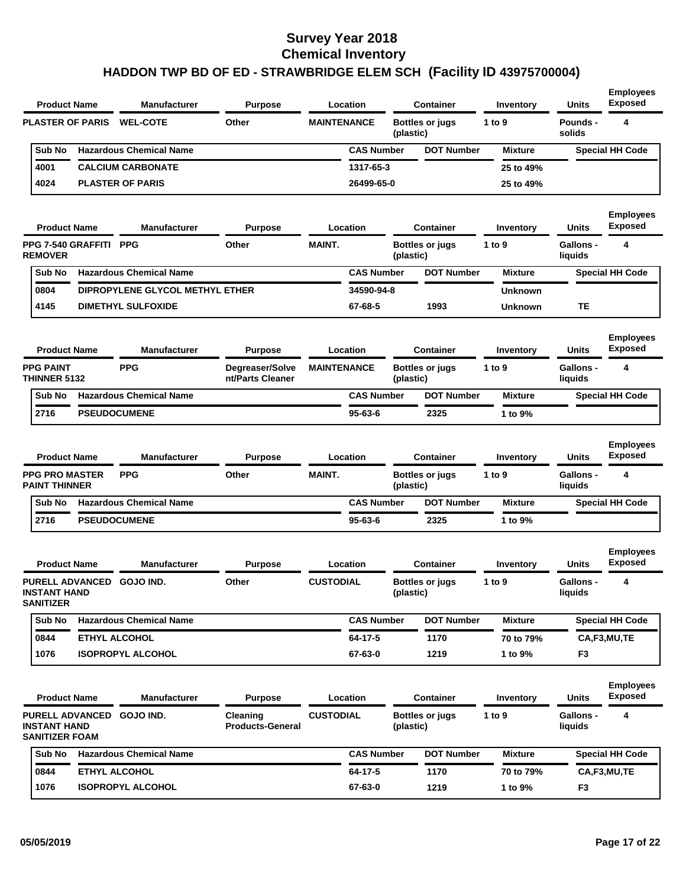| <b>Product Name</b><br>Manufacturer                                        | <b>Purpose</b>                      |                    | Location          |           | <b>Container</b>                           | Inventory           | <b>Units</b>                | <b>Employees</b><br><b>Exposed</b>      |
|----------------------------------------------------------------------------|-------------------------------------|--------------------|-------------------|-----------|--------------------------------------------|---------------------|-----------------------------|-----------------------------------------|
| <b>PLASTER OF PARIS</b><br><b>WEL-COTE</b>                                 | Other                               | <b>MAINTENANCE</b> |                   | (plastic) | <b>Bottles or jugs</b>                     | 1 to 9              | Pounds -<br>solids          | 4                                       |
| <b>Hazardous Chemical Name</b><br>Sub No                                   |                                     |                    | <b>CAS Number</b> |           | <b>DOT Number</b>                          | <b>Mixture</b>      |                             | <b>Special HH Code</b>                  |
| 4001<br><b>CALCIUM CARBONATE</b>                                           |                                     |                    | 1317-65-3         |           |                                            | 25 to 49%           |                             |                                         |
| 4024<br><b>PLASTER OF PARIS</b>                                            |                                     |                    | 26499-65-0        |           |                                            | 25 to 49%           |                             |                                         |
| <b>Product Name</b><br><b>Manufacturer</b>                                 | <b>Purpose</b>                      |                    | Location          |           | <b>Container</b>                           | Inventory           | Units                       | <b>Employees</b><br><b>Exposed</b>      |
| PPG 7-540 GRAFFITI PPG<br><b>REMOVER</b>                                   | Other                               | <b>MAINT.</b>      |                   | (plastic) | Bottles or jugs                            | 1 to 9              | <b>Gallons -</b><br>liquids | 4                                       |
| <b>Hazardous Chemical Name</b><br>Sub No                                   |                                     |                    | <b>CAS Number</b> |           | <b>DOT Number</b>                          | <b>Mixture</b>      |                             | <b>Special HH Code</b>                  |
| 0804<br>DIPROPYLENE GLYCOL METHYL ETHER                                    |                                     |                    | 34590-94-8        |           |                                            | <b>Unknown</b>      |                             |                                         |
| 4145<br><b>DIMETHYL SULFOXIDE</b>                                          |                                     |                    | 67-68-5           |           | 1993                                       | <b>Unknown</b>      | TЕ                          |                                         |
| <b>Product Name</b><br><b>Manufacturer</b>                                 | <b>Purpose</b>                      |                    | Location          |           | <b>Container</b>                           | Inventory           | <b>Units</b>                | <b>Employees</b><br><b>Exposed</b>      |
| <b>PPG PAINT</b><br><b>PPG</b><br><b>THINNER 5132</b>                      | Degreaser/Solve<br>nt/Parts Cleaner | <b>MAINTENANCE</b> |                   | (plastic) | <b>Bottles or jugs</b>                     | 1 to 9              | Gallons -<br>liquids        | 4                                       |
| <b>Hazardous Chemical Name</b><br>Sub No                                   |                                     |                    | <b>CAS Number</b> |           | <b>DOT Number</b>                          | <b>Mixture</b>      |                             | <b>Special HH Code</b>                  |
| 2716<br><b>PSEUDOCUMENE</b>                                                |                                     |                    | 95-63-6           |           | 2325                                       | 1 to 9%             |                             |                                         |
| <b>Product Name</b><br>Manufacturer<br><b>PPG PRO MASTER</b><br><b>PPG</b> | <b>Purpose</b><br>Other             | <b>MAINT.</b>      | Location          |           | <b>Container</b><br><b>Bottles or jugs</b> | Inventory<br>1 to 9 | Units<br><b>Gallons -</b>   | <b>Employees</b><br><b>Exposed</b><br>4 |
| <b>PAINT THINNER</b>                                                       |                                     |                    |                   | (plastic) |                                            |                     | liquids                     |                                         |
| <b>Hazardous Chemical Name</b><br>Sub No                                   |                                     |                    | <b>CAS Number</b> |           | <b>DOT Number</b>                          | <b>Mixture</b>      |                             | <b>Special HH Code</b>                  |
| 2716<br><b>PSEUDOCUMENE</b>                                                |                                     |                    | 95-63-6           |           | 2325                                       | 1 to 9%             |                             |                                         |
| <b>Manufacturer</b><br><b>Product Name</b>                                 | <b>Purpose</b>                      |                    | Location          |           | <b>Container</b>                           | Inventory           | Units                       | <b>Employees</b><br><b>Exposed</b>      |
| PURELL ADVANCED GOJO IND.<br><b>INSTANT HAND</b><br><b>SANITIZER</b>       | Other                               | <b>CUSTODIAL</b>   |                   | (plastic) | <b>Bottles or jugs</b>                     | 1 to 9              | <b>Gallons -</b><br>liquids | 4                                       |
| Sub No<br><b>Hazardous Chemical Name</b>                                   |                                     |                    | <b>CAS Number</b> |           | <b>DOT Number</b>                          | <b>Mixture</b>      |                             | <b>Special HH Code</b>                  |
| 0844<br>ETHYL ALCOHOL                                                      |                                     |                    | 64-17-5           |           | 1170                                       | 70 to 79%           |                             | CA,F3,MU,TE                             |
|                                                                            |                                     |                    | 67-63-0           |           | 1219                                       | 1 to 9%             | F <sub>3</sub>              |                                         |
| 1076<br><b>ISOPROPYL ALCOHOL</b>                                           |                                     |                    |                   |           |                                            |                     |                             |                                         |
| <b>Product Name</b><br><b>Manufacturer</b>                                 | <b>Purpose</b>                      |                    | Location          |           | <b>Container</b>                           | Inventory           | Units                       | <b>Employees</b><br><b>Exposed</b>      |
| PURELL ADVANCED GOJO IND.<br><b>INSTANT HAND</b><br><b>SANITIZER FOAM</b>  | Cleaning<br><b>Products-General</b> | <b>CUSTODIAL</b>   |                   | (plastic) | <b>Bottles or jugs</b>                     | 1 to 9              | <b>Gallons -</b><br>liquids | 4                                       |
| Sub No<br><b>Hazardous Chemical Name</b>                                   |                                     |                    | <b>CAS Number</b> |           | <b>DOT Number</b>                          | <b>Mixture</b>      |                             | <b>Special HH Code</b>                  |
| ETHYL ALCOHOL<br>0844                                                      |                                     |                    | $64 - 17 - 5$     |           | 1170                                       | 70 to 79%           |                             | CA,F3,MU,TE                             |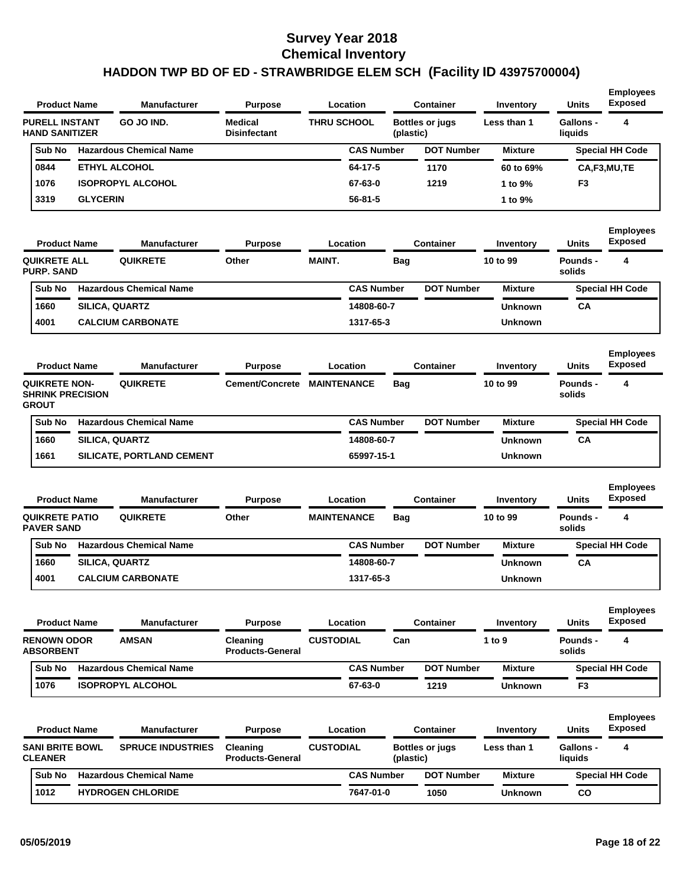| <b>Product Name</b>                            |                 | <b>Manufacturer</b>              | <b>Purpose</b>                        | Location           |                   |            | <b>Container</b>       | Inventory      | <b>Units</b>                | <b>Employees</b><br><b>Exposed</b> |
|------------------------------------------------|-----------------|----------------------------------|---------------------------------------|--------------------|-------------------|------------|------------------------|----------------|-----------------------------|------------------------------------|
| <b>PURELL INSTANT</b><br><b>HAND SANITIZER</b> |                 | GO JO IND.                       | <b>Medical</b><br><b>Disinfectant</b> | <b>THRU SCHOOL</b> |                   | (plastic)  | <b>Bottles or jugs</b> | Less than 1    | <b>Gallons -</b><br>liquids | 4                                  |
| Sub No                                         |                 | <b>Hazardous Chemical Name</b>   |                                       |                    | <b>CAS Number</b> |            | <b>DOT Number</b>      | <b>Mixture</b> |                             | <b>Special HH Code</b>             |
| 0844                                           |                 | <b>ETHYL ALCOHOL</b>             |                                       |                    | 64-17-5           |            | 1170                   | 60 to 69%      |                             | CA,F3,MU,TE                        |
| 1076                                           |                 | <b>ISOPROPYL ALCOHOL</b>         |                                       |                    | 67-63-0           |            | 1219                   | 1 to 9%        | F3                          |                                    |
| 3319                                           | <b>GLYCERIN</b> |                                  |                                       |                    | 56-81-5           |            |                        | 1 to 9%        |                             |                                    |
| <b>Product Name</b>                            |                 | <b>Manufacturer</b>              | <b>Purpose</b>                        | Location           |                   |            | <b>Container</b>       | Inventory      | <b>Units</b>                | <b>Employees</b><br><b>Exposed</b> |
| <b>QUIKRETE ALL</b><br><b>PURP. SAND</b>       |                 | <b>QUIKRETE</b>                  | Other                                 | <b>MAINT.</b>      |                   | <b>Bag</b> |                        | 10 to 99       | <b>Pounds -</b><br>solids   | 4                                  |
| Sub No                                         |                 | <b>Hazardous Chemical Name</b>   |                                       |                    | <b>CAS Number</b> |            | <b>DOT Number</b>      | <b>Mixture</b> |                             | <b>Special HH Code</b>             |
| 1660                                           |                 | <b>SILICA, QUARTZ</b>            |                                       |                    | 14808-60-7        |            |                        | Unknown        | СA                          |                                    |
| 4001                                           |                 | <b>CALCIUM CARBONATE</b>         |                                       |                    | 1317-65-3         |            |                        | <b>Unknown</b> |                             |                                    |
| <b>Product Name</b>                            |                 | <b>Manufacturer</b>              | <b>Purpose</b>                        | Location           |                   |            | Container              | Inventory      | <b>Units</b>                | <b>Employees</b><br><b>Exposed</b> |
| <b>QUIKRETE NON-</b>                           |                 | <b>QUIKRETE</b>                  | Cement/Concrete                       | <b>MAINTENANCE</b> |                   | Bag        |                        | 10 to 99       | Pounds -                    | 4                                  |
| <b>SHRINK PRECISION</b><br><b>GROUT</b>        |                 |                                  |                                       |                    |                   |            |                        |                | solids                      |                                    |
| Sub No                                         |                 | <b>Hazardous Chemical Name</b>   |                                       |                    | <b>CAS Number</b> |            | <b>DOT Number</b>      | <b>Mixture</b> |                             | <b>Special HH Code</b>             |
| 1660                                           |                 | SILICA, QUARTZ                   |                                       |                    | 14808-60-7        |            |                        | Unknown        | CA                          |                                    |
| 1661                                           |                 | <b>SILICATE, PORTLAND CEMENT</b> |                                       |                    | 65997-15-1        |            |                        | <b>Unknown</b> |                             |                                    |
| <b>Product Name</b>                            |                 | <b>Manufacturer</b>              | <b>Purpose</b>                        | Location           |                   |            | <b>Container</b>       | Inventory      | <b>Units</b>                | <b>Employees</b><br><b>Exposed</b> |
|                                                |                 |                                  |                                       |                    |                   |            |                        |                |                             |                                    |
| <b>QUIKRETE PATIO</b><br><b>PAVER SAND</b>     |                 | <b>QUIKRETE</b>                  | Other                                 | <b>MAINTENANCE</b> |                   | Bag        |                        | 10 to 99       | Pounds -<br>solids          | 4                                  |
| Sub No                                         |                 | <b>Hazardous Chemical Name</b>   |                                       |                    | <b>CAS Number</b> |            | <b>DOT Number</b>      | <b>Mixture</b> |                             | <b>Special HH Code</b>             |
| 1660                                           |                 | SILICA, QUARTZ                   |                                       |                    | 14808-60-7        |            |                        | <b>Unknown</b> | СA                          |                                    |
| 4001                                           |                 | <b>CALCIUM CARBONATE</b>         |                                       |                    | 1317-65-3         |            |                        | <b>Unknown</b> |                             |                                    |
| <b>Product Name</b>                            |                 | <b>Manufacturer</b>              | <b>Purpose</b>                        | Location           |                   |            | <b>Container</b>       | Inventory      | <b>Units</b>                | <b>Employees</b><br><b>Exposed</b> |
| <b>RENOWN ODOR</b><br><b>ABSORBENT</b>         |                 | <b>AMSAN</b>                     | Cleaning<br><b>Products-General</b>   | <b>CUSTODIAL</b>   |                   | Can        |                        | 1 to 9         | Pounds -<br>solids          | 4                                  |
| Sub No                                         |                 | <b>Hazardous Chemical Name</b>   |                                       |                    | <b>CAS Number</b> |            | <b>DOT Number</b>      | <b>Mixture</b> |                             | <b>Special HH Code</b>             |
| 1076                                           |                 | <b>ISOPROPYL ALCOHOL</b>         |                                       |                    | 67-63-0           |            | 1219                   | <b>Unknown</b> | F3                          |                                    |
| <b>Product Name</b>                            |                 | <b>Manufacturer</b>              | <b>Purpose</b>                        | Location           |                   |            | <b>Container</b>       | Inventory      | <b>Units</b>                | <b>Employees</b><br><b>Exposed</b> |
| <b>SANI BRITE BOWL</b><br><b>CLEANER</b>       |                 | <b>SPRUCE INDUSTRIES</b>         | Cleaning<br><b>Products-General</b>   | <b>CUSTODIAL</b>   |                   | (plastic)  | <b>Bottles or jugs</b> | Less than 1    | <b>Gallons -</b><br>liquids | 4                                  |
| Sub No                                         |                 | <b>Hazardous Chemical Name</b>   |                                       |                    | <b>CAS Number</b> |            | <b>DOT Number</b>      | <b>Mixture</b> |                             | <b>Special HH Code</b>             |
| 1012                                           |                 | <b>HYDROGEN CHLORIDE</b>         |                                       |                    | 7647-01-0         |            | 1050                   | <b>Unknown</b> | CO                          |                                    |
|                                                |                 |                                  |                                       |                    |                   |            |                        |                |                             |                                    |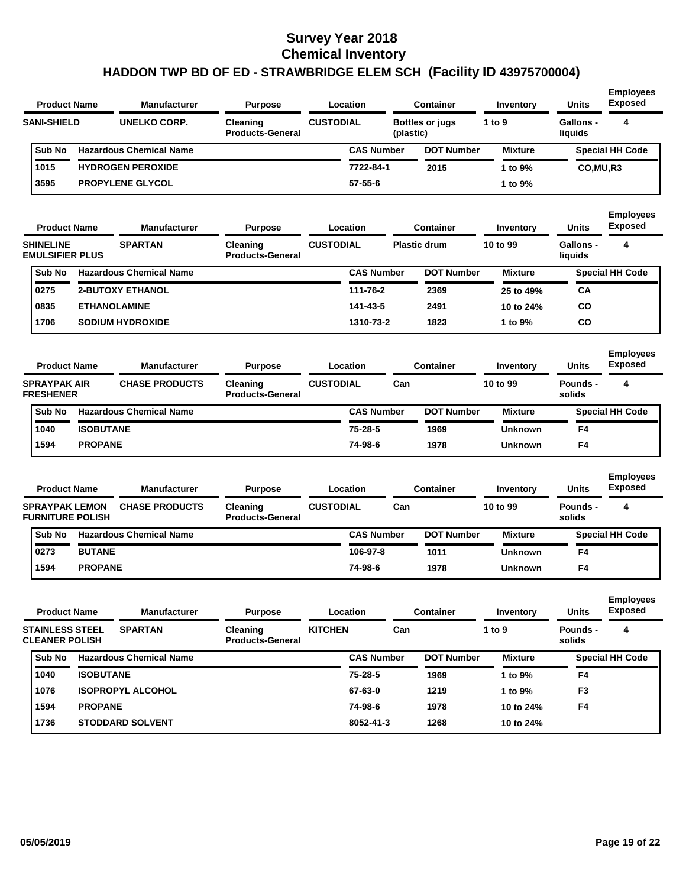| <b>Product Name</b> |  | <b>Manufacturer</b><br><b>Purpose</b> |                                     | Location         |                   | Container              | Inventory      | <b>Units</b>         | <b>Employees</b><br><b>Exposed</b> |
|---------------------|--|---------------------------------------|-------------------------------------|------------------|-------------------|------------------------|----------------|----------------------|------------------------------------|
| <b>SANI-SHIELD</b>  |  | <b>UNELKO CORP.</b>                   | Cleaning<br><b>Products-General</b> | <b>CUSTODIAL</b> | (plastic)         | <b>Bottles or jugs</b> | 1 to 9         | Gallons -<br>liquids | 4                                  |
| Sub No              |  | <b>Hazardous Chemical Name</b>        |                                     |                  | <b>CAS Number</b> | <b>DOT Number</b>      | <b>Mixture</b> |                      | <b>Special HH Code</b>             |
| 1015                |  | <b>HYDROGEN PEROXIDE</b>              |                                     |                  | 7722-84-1         | 2015                   | 1 to 9%        | CO, MU, R3           |                                    |
| 3595                |  | <b>PROPYLENE GLYCOL</b>               |                                     |                  | $57 - 55 - 6$     |                        | 1 to 9%        |                      |                                    |
| <b>Product Name</b> |  | <b>Manufacturer</b>                   | <b>Purpose</b>                      | Location         |                   | <b>Container</b>       | Inventory      | <b>Units</b>         | <b>Employees</b><br><b>Exposed</b> |

| <b>SHINELINE</b><br><b>EMULSIFIER PLUS</b> | <b>SPARTAN</b>                 | <b>Cleaning</b><br><b>Products-General</b> | <b>CUSTODIAL</b> |                   | <b>Plastic drum</b> |                   | 10 to 99       | Gallons -<br>liquids |                        |
|--------------------------------------------|--------------------------------|--------------------------------------------|------------------|-------------------|---------------------|-------------------|----------------|----------------------|------------------------|
| <b>Sub No</b>                              | <b>Hazardous Chemical Name</b> |                                            |                  | <b>CAS Number</b> |                     | <b>DOT Number</b> | <b>Mixture</b> |                      | <b>Special HH Code</b> |
| 0275                                       | <b>2-BUTOXY ETHANOL</b>        |                                            |                  | 111-76-2          |                     | 2369              | 25 to 49%      | CA                   |                        |
| 0835                                       | <b>ETHANOLAMINE</b>            |                                            |                  | 141-43-5          |                     | 2491              | 10 to 24%      | <b>CO</b>            |                        |
| 1706                                       | <b>SODIUM HYDROXIDE</b>        |                                            |                  | 1310-73-2         |                     | 1823              | l to 9%        | CO                   |                        |

| <b>Product Name</b>                     | <b>Manufacturer</b> | <b>Purpose</b>                 |                                     | Location         | Container         |     | Inventory         | <b>Units</b>   | <b>Employees</b><br><b>Exposed</b> |                        |
|-----------------------------------------|---------------------|--------------------------------|-------------------------------------|------------------|-------------------|-----|-------------------|----------------|------------------------------------|------------------------|
| <b>SPRAYPAK AIR</b><br><b>FRESHENER</b> |                     | <b>CHASE PRODUCTS</b>          | Cleaning<br><b>Products-General</b> | <b>CUSTODIAL</b> |                   | Can |                   | 10 to 99       | Pounds -<br>solids                 | 4                      |
| Sub No                                  |                     | <b>Hazardous Chemical Name</b> |                                     |                  | <b>CAS Number</b> |     | <b>DOT Number</b> | <b>Mixture</b> |                                    | <b>Special HH Code</b> |
| 1040                                    | <b>ISOBUTANE</b>    |                                |                                     |                  | $75 - 28 - 5$     |     | 1969              | <b>Unknown</b> | F <sub>4</sub>                     |                        |
| 1594                                    | <b>PROPANE</b>      |                                |                                     |                  | 74-98-6           |     | 1978              | <b>Unknown</b> | F <sub>4</sub>                     |                        |

| <b>Product Name</b>                              |                | <b>Manufacturer</b>            | <b>Purpose</b>                      |                  | Location          |     | <b>Container</b>  | Inventory      | <b>Units</b>       | <b>Employees</b><br><b>Exposed</b> |
|--------------------------------------------------|----------------|--------------------------------|-------------------------------------|------------------|-------------------|-----|-------------------|----------------|--------------------|------------------------------------|
| <b>SPRAYPAK LEMON</b><br><b>FURNITURE POLISH</b> |                | <b>CHASE PRODUCTS</b>          | Cleaning<br><b>Products-General</b> | <b>CUSTODIAL</b> |                   | Can |                   | 10 to 99       | Pounds -<br>solids | 4                                  |
| Sub No                                           |                | <b>Hazardous Chemical Name</b> |                                     |                  | <b>CAS Number</b> |     | <b>DOT Number</b> | <b>Mixture</b> |                    | <b>Special HH Code</b>             |
| 0273                                             | <b>BUTANE</b>  |                                |                                     |                  | 106-97-8          |     | 1011              | <b>Unknown</b> | F4                 |                                    |
| 1594                                             | <b>PROPANE</b> |                                |                                     |                  | 74-98-6           |     | 1978              | <b>Unknown</b> | F4                 |                                    |

|        |                                                                                                                                                                                                                         | <b>Manufacturer</b> | <b>Purpose</b>                             |                | Location          | <b>Container</b>  | Inventory      | <b>Units</b>       | <b>Employees</b><br><b>Exposed</b> |
|--------|-------------------------------------------------------------------------------------------------------------------------------------------------------------------------------------------------------------------------|---------------------|--------------------------------------------|----------------|-------------------|-------------------|----------------|--------------------|------------------------------------|
|        | <b>Product Name</b><br><b>SPARTAN</b><br><b>STAINLESS STEEL</b><br><b>CLEANER POLISH</b><br><b>Hazardous Chemical Name</b><br><b>ISOBUTANE</b><br><b>ISOPROPYL ALCOHOL</b><br><b>PROPANE</b><br><b>STODDARD SOLVENT</b> |                     | <b>Cleaning</b><br><b>Products-General</b> | <b>KITCHEN</b> | Can               |                   | 1 to $9$       | Pounds -<br>solids | 4                                  |
| Sub No |                                                                                                                                                                                                                         |                     |                                            |                | <b>CAS Number</b> | <b>DOT Number</b> | <b>Mixture</b> |                    | <b>Special HH Code</b>             |
| 1040   |                                                                                                                                                                                                                         |                     |                                            |                | 75-28-5           | 1969              | 1 to 9%        | F4                 |                                    |
| 1076   |                                                                                                                                                                                                                         |                     |                                            |                | 67-63-0           | 1219              | 1 to $9\%$     | F <sub>3</sub>     |                                    |
| 1594   |                                                                                                                                                                                                                         |                     |                                            |                | 74-98-6           | 1978              | 10 to 24%      | F <sub>4</sub>     |                                    |
| 1736   |                                                                                                                                                                                                                         |                     |                                            |                | 8052-41-3         | 1268              | 10 to 24%      |                    |                                    |
|        |                                                                                                                                                                                                                         |                     |                                            |                |                   |                   |                |                    |                                    |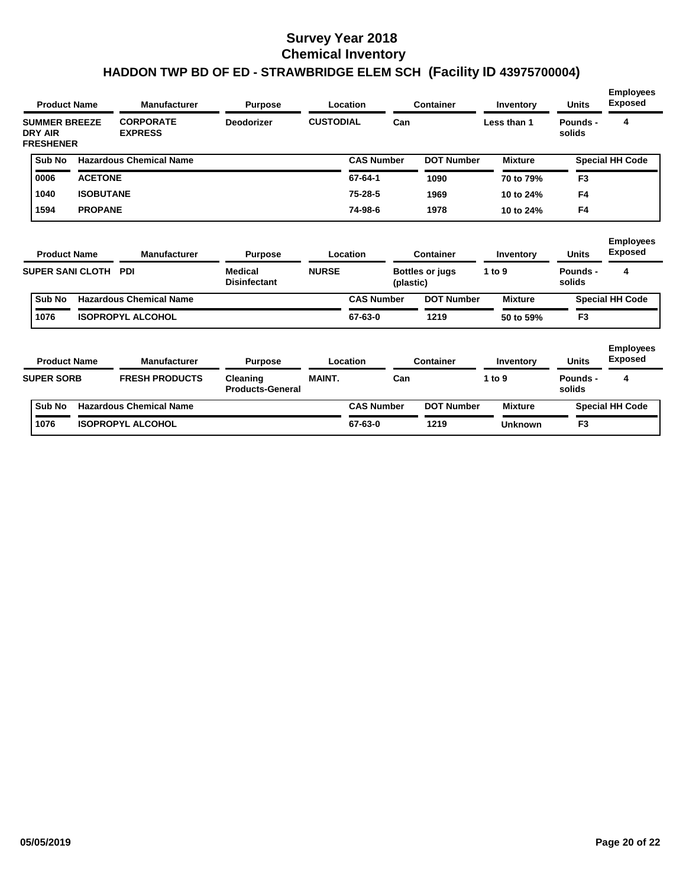|                                    |        | <b>Product Name</b>     | <b>Manufacturer</b>                | <b>Purpose</b>                        |                  | Location          |           | <b>Container</b>       | Inventory      | <b>Units</b>       | <b>Employees</b><br><b>Exposed</b> |
|------------------------------------|--------|-------------------------|------------------------------------|---------------------------------------|------------------|-------------------|-----------|------------------------|----------------|--------------------|------------------------------------|
| <b>DRY AIR</b><br><b>FRESHENER</b> |        | <b>SUMMER BREEZE</b>    | <b>CORPORATE</b><br><b>EXPRESS</b> | <b>Deodorizer</b>                     | <b>CUSTODIAL</b> |                   | Can       |                        | Less than 1    | Pounds -<br>solids | 4                                  |
|                                    | Sub No |                         | <b>Hazardous Chemical Name</b>     |                                       |                  | <b>CAS Number</b> |           | <b>DOT Number</b>      | <b>Mixture</b> |                    | <b>Special HH Code</b>             |
| 0006                               |        | <b>ACETONE</b>          |                                    |                                       |                  | 67-64-1           |           | 1090                   | 70 to 79%      | F <sub>3</sub>     |                                    |
| 1040                               |        | <b>ISOBUTANE</b>        |                                    |                                       |                  | $75 - 28 - 5$     |           | 1969                   | 10 to 24%      | F4                 |                                    |
| 1594                               |        | <b>PROPANE</b>          |                                    |                                       |                  | 74-98-6           |           | 1978                   | 10 to 24%      | F <sub>4</sub>     |                                    |
|                                    |        | <b>Product Name</b>     | Manufacturer                       | <b>Purpose</b>                        |                  | Location          |           | <b>Container</b>       | Inventory      | <b>Units</b>       | <b>Employees</b><br><b>Exposed</b> |
|                                    |        | <b>SUPER SANI CLOTH</b> | <b>PDI</b>                         | <b>Medical</b><br><b>Disinfectant</b> | <b>NURSE</b>     |                   | (plastic) | <b>Bottles or jugs</b> | 1 to 9         | Pounds -<br>solids | 4                                  |
|                                    | Sub No |                         | <b>Hazardous Chemical Name</b>     |                                       |                  | <b>CAS Number</b> |           | <b>DOT Number</b>      | <b>Mixture</b> |                    | <b>Special HH Code</b>             |
| 1076                               |        |                         | <b>ISOPROPYL ALCOHOL</b>           |                                       |                  | 67-63-0           |           | 1219                   | 50 to 59%      | F <sub>3</sub>     |                                    |
|                                    |        | <b>Product Name</b>     | Manufacturer                       | <b>Purpose</b>                        |                  | Location          |           | <b>Container</b>       | Inventory      | <b>Units</b>       | <b>Employees</b><br><b>Exposed</b> |
| <b>SUPER SORB</b>                  |        |                         | <b>FRESH PRODUCTS</b>              | Cleaning<br><b>Products-General</b>   | <b>MAINT.</b>    |                   | Can       |                        | 1 to 9         | Pounds -<br>solids | 4                                  |
|                                    | Sub No |                         | <b>Hazardous Chemical Name</b>     |                                       |                  | <b>CAS Number</b> |           | <b>DOT Number</b>      | <b>Mixture</b> |                    | <b>Special HH Code</b>             |
| 1076                               |        |                         | <b>ISOPROPYL ALCOHOL</b>           |                                       |                  | 67-63-0           |           | 1219                   | <b>Unknown</b> | F <sub>3</sub>     |                                    |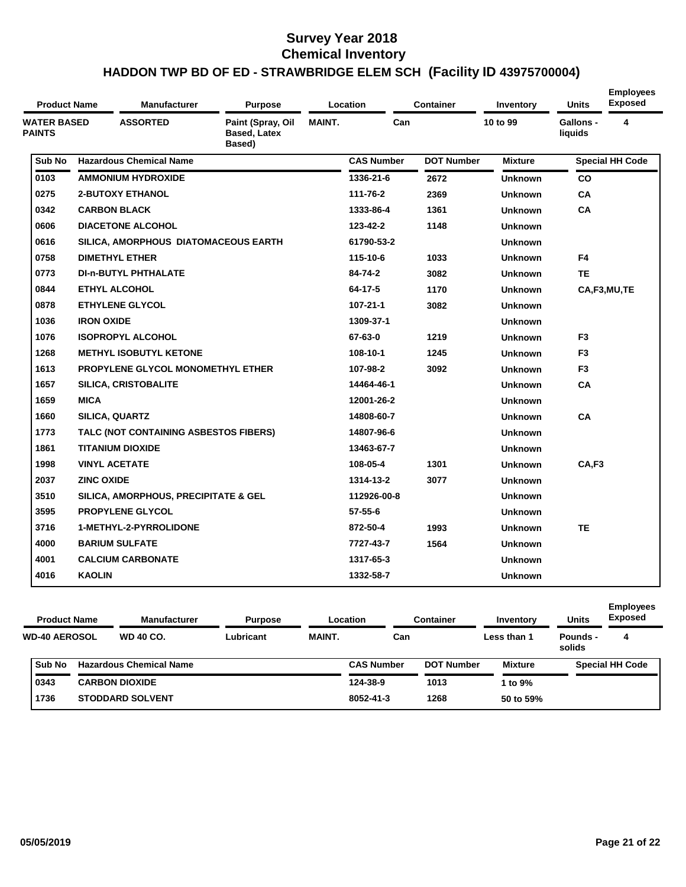| <b>Product Name</b>                 |                   | <b>Manufacturer</b>                   | <b>Purpose</b>                                     |               | <b>Location</b>   | <b>Container</b>  | Inventory      | <b>Units</b>         | <b>Employees</b><br><b>Exposed</b> |
|-------------------------------------|-------------------|---------------------------------------|----------------------------------------------------|---------------|-------------------|-------------------|----------------|----------------------|------------------------------------|
| <b>WATER BASED</b><br><b>PAINTS</b> |                   | <b>ASSORTED</b>                       | Paint (Spray, Oil<br><b>Based, Latex</b><br>Based) | <b>MAINT.</b> | Can               |                   | 10 to 99       | Gallons -<br>liquids | 4                                  |
| Sub No                              |                   | <b>Hazardous Chemical Name</b>        |                                                    |               | <b>CAS Number</b> | <b>DOT Number</b> | <b>Mixture</b> |                      | <b>Special HH Code</b>             |
| 0103                                |                   | <b>AMMONIUM HYDROXIDE</b>             |                                                    |               | 1336-21-6         | 2672              | <b>Unknown</b> | CO                   |                                    |
| 0275                                |                   | <b>2-BUTOXY ETHANOL</b>               |                                                    |               | 111-76-2          | 2369              | <b>Unknown</b> | CA                   |                                    |
| 0342                                |                   | <b>CARBON BLACK</b>                   |                                                    |               | 1333-86-4         | 1361              | <b>Unknown</b> | CA                   |                                    |
| 0606                                |                   | <b>DIACETONE ALCOHOL</b>              |                                                    |               | 123-42-2          | 1148              | <b>Unknown</b> |                      |                                    |
| 0616                                |                   | SILICA, AMORPHOUS DIATOMACEOUS EARTH  |                                                    |               | 61790-53-2        |                   | <b>Unknown</b> |                      |                                    |
| 0758                                |                   | <b>DIMETHYL ETHER</b>                 |                                                    |               | 115-10-6          | 1033              | <b>Unknown</b> | F4                   |                                    |
| 0773                                |                   | <b>DI-n-BUTYL PHTHALATE</b>           |                                                    |               | 84-74-2           | 3082              | <b>Unknown</b> | <b>TE</b>            |                                    |
| 0844                                |                   | <b>ETHYL ALCOHOL</b>                  |                                                    |               | 64-17-5           | 1170              | <b>Unknown</b> |                      | CA,F3,MU,TE                        |
| 0878                                |                   | <b>ETHYLENE GLYCOL</b>                |                                                    |               | $107 - 21 - 1$    | 3082              | <b>Unknown</b> |                      |                                    |
| 1036                                | <b>IRON OXIDE</b> |                                       |                                                    |               | 1309-37-1         |                   | <b>Unknown</b> |                      |                                    |
| 1076                                |                   | <b>ISOPROPYL ALCOHOL</b>              |                                                    |               | 67-63-0           | 1219              | <b>Unknown</b> | F <sub>3</sub>       |                                    |
| 1268                                |                   | <b>METHYL ISOBUTYL KETONE</b>         |                                                    |               | 108-10-1          | 1245              | <b>Unknown</b> | F <sub>3</sub>       |                                    |
| 1613                                |                   | PROPYLENE GLYCOL MONOMETHYL ETHER     |                                                    |               | 107-98-2          | 3092              | <b>Unknown</b> | F <sub>3</sub>       |                                    |
| 1657                                |                   | <b>SILICA, CRISTOBALITE</b>           |                                                    |               | 14464-46-1        |                   | <b>Unknown</b> | CA                   |                                    |
| 1659                                | <b>MICA</b>       |                                       |                                                    |               | 12001-26-2        |                   | <b>Unknown</b> |                      |                                    |
| 1660                                |                   | <b>SILICA, QUARTZ</b>                 |                                                    |               | 14808-60-7        |                   | <b>Unknown</b> | CA                   |                                    |
| 1773                                |                   | TALC (NOT CONTAINING ASBESTOS FIBERS) |                                                    |               | 14807-96-6        |                   | <b>Unknown</b> |                      |                                    |
| 1861                                |                   | TITANIUM DIOXIDE                      |                                                    |               | 13463-67-7        |                   | <b>Unknown</b> |                      |                                    |
| 1998                                |                   | <b>VINYL ACETATE</b>                  |                                                    |               | 108-05-4          | 1301              | <b>Unknown</b> | CA,F3                |                                    |
| 2037                                | <b>ZINC OXIDE</b> |                                       |                                                    |               | 1314-13-2         | 3077              | <b>Unknown</b> |                      |                                    |
| 3510                                |                   | SILICA, AMORPHOUS, PRECIPITATE & GEL  |                                                    |               | 112926-00-8       |                   | <b>Unknown</b> |                      |                                    |
| 3595                                |                   | <b>PROPYLENE GLYCOL</b>               |                                                    |               | $57 - 55 - 6$     |                   | <b>Unknown</b> |                      |                                    |
| 3716                                |                   | <b>1-METHYL-2-PYRROLIDONE</b>         |                                                    |               | 872-50-4          | 1993              | <b>Unknown</b> | <b>TE</b>            |                                    |
| 4000                                |                   | <b>BARIUM SULFATE</b>                 |                                                    |               | 7727-43-7         | 1564              | <b>Unknown</b> |                      |                                    |
| 4001                                |                   | <b>CALCIUM CARBONATE</b>              |                                                    |               | 1317-65-3         |                   | <b>Unknown</b> |                      |                                    |
| 4016                                | <b>KAOLIN</b>     |                                       |                                                    |               | 1332-58-7         |                   | <b>Unknown</b> |                      |                                    |

| <b>Product Name</b>  |  | <b>Manufacturer</b><br>Location<br><b>Purpose</b> |           |               | Container         |                   | <b>Units</b>   | <b>Employees</b><br><b>Exposed</b> |                        |
|----------------------|--|---------------------------------------------------|-----------|---------------|-------------------|-------------------|----------------|------------------------------------|------------------------|
| <b>WD-40 AEROSOL</b> |  | <b>WD 40 CO.</b>                                  | Lubricant | <b>MAINT.</b> | Can               |                   | Less than 1    | Pounds -<br>solids                 | 4                      |
| Sub No               |  | <b>Hazardous Chemical Name</b>                    |           |               | <b>CAS Number</b> | <b>DOT Number</b> | <b>Mixture</b> |                                    | <b>Special HH Code</b> |
| 0343                 |  | <b>CARBON DIOXIDE</b>                             |           |               | 124-38-9          | 1013              | 1 to $9\%$     |                                    |                        |
| 1736                 |  | <b>STODDARD SOLVENT</b>                           |           |               | 8052-41-3         | 1268              | 50 to 59%      |                                    |                        |